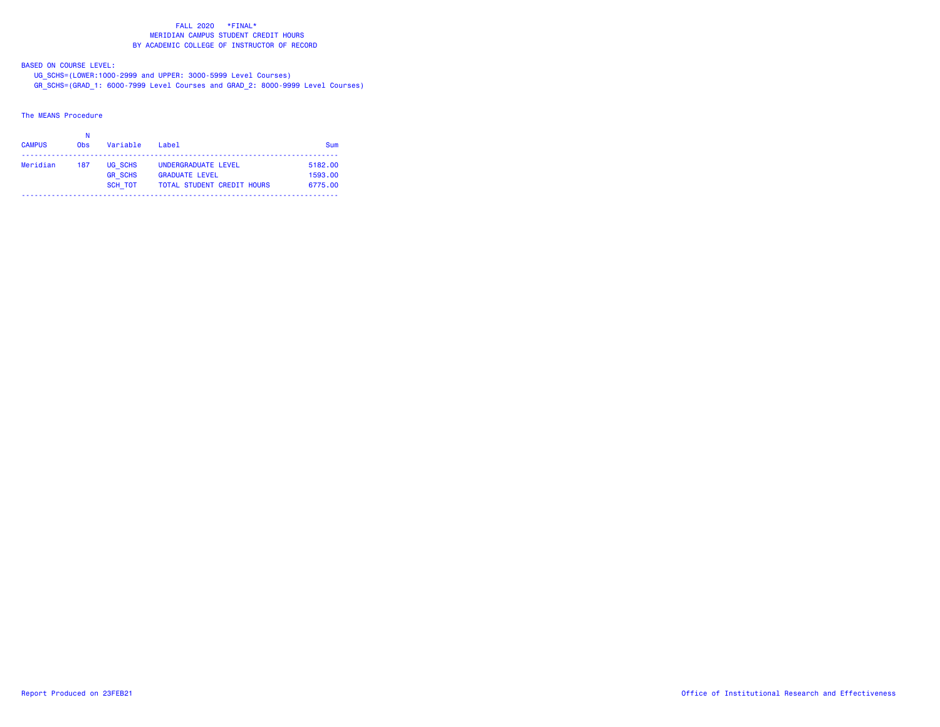BASED ON COURSE LEVEL:

 UG\_SCHS=(LOWER:1000-2999 and UPPER: 3000-5999 Level Courses) GR\_SCHS=(GRAD\_1: 6000-7999 Level Courses and GRAD\_2: 8000-9999 Level Courses)

The MEANS Procedure

| <b>CAMPUS</b> | <b>Obs</b> | Variable                  | Label                                                      | Sum                |
|---------------|------------|---------------------------|------------------------------------------------------------|--------------------|
| Meridian      | 187        | UG SCHS                   | UNDERGRADUATE LEVEL                                        | 5182.00            |
|               |            | <b>GR SCHS</b><br>SCH TOT | <b>GRADUATE LEVEL</b><br><b>TOTAL STUDENT CREDIT HOURS</b> | 1593.00<br>6775.00 |
|               |            |                           |                                                            |                    |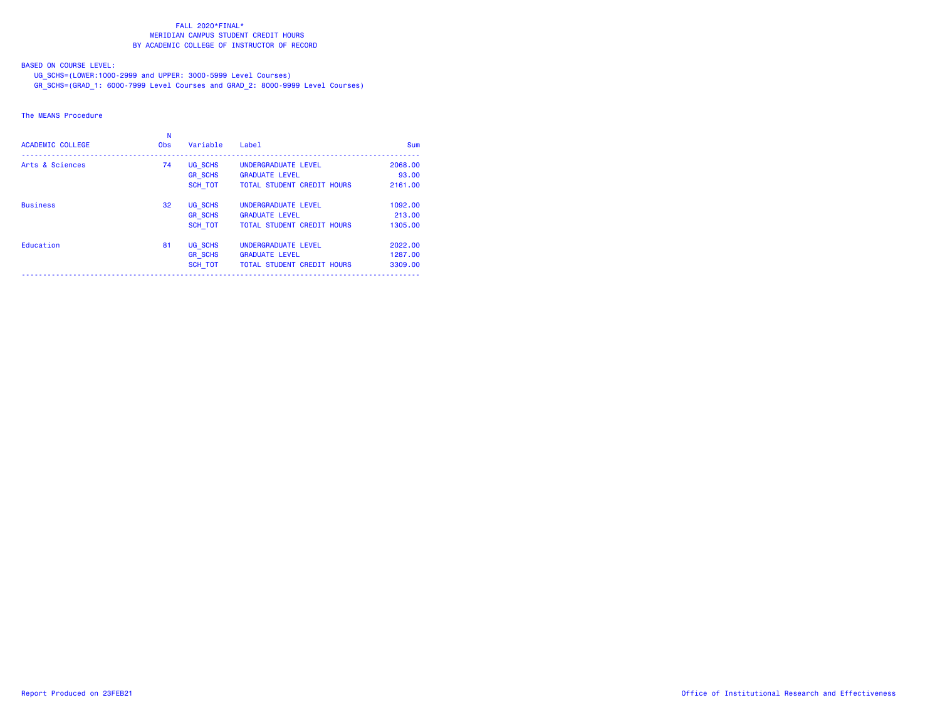BASED ON COURSE LEVEL:

UG\_SCHS=(LOWER:1000-2999 and UPPER: 3000-5999 Level Courses)

GR\_SCHS=(GRAD\_1: 6000-7999 Level Courses and GRAD\_2: 8000-9999 Level Courses)

### The MEANS Procedure

| <b>ACADEMIC COLLEGE</b> | <b>Obs</b> | Variable       | Label                             | Sum     |
|-------------------------|------------|----------------|-----------------------------------|---------|
| Arts & Sciences         | 74         | UG SCHS        | UNDERGRADUATE LEVEL               | 2068.00 |
|                         |            | <b>GR SCHS</b> | <b>GRADUATE LEVEL</b>             | 93.00   |
|                         |            | SCH TOT        | <b>TOTAL STUDENT CREDIT HOURS</b> | 2161.00 |
| <b>Business</b>         | 32         | UG SCHS        | UNDERGRADUATE LEVEL               | 1092.00 |
|                         |            | <b>GR SCHS</b> | <b>GRADUATE LEVEL</b>             | 213,00  |
|                         |            | <b>SCH TOT</b> | <b>TOTAL STUDENT CREDIT HOURS</b> | 1305.00 |
| Education               | 81         | UG SCHS        | UNDERGRADUATE LEVEL               | 2022.00 |
|                         |            | <b>GR SCHS</b> | <b>GRADUATE LEVEL</b>             | 1287.00 |
|                         |            | SCH TOT        | TOTAL STUDENT CREDIT HOURS        | 3309.00 |
|                         |            |                |                                   |         |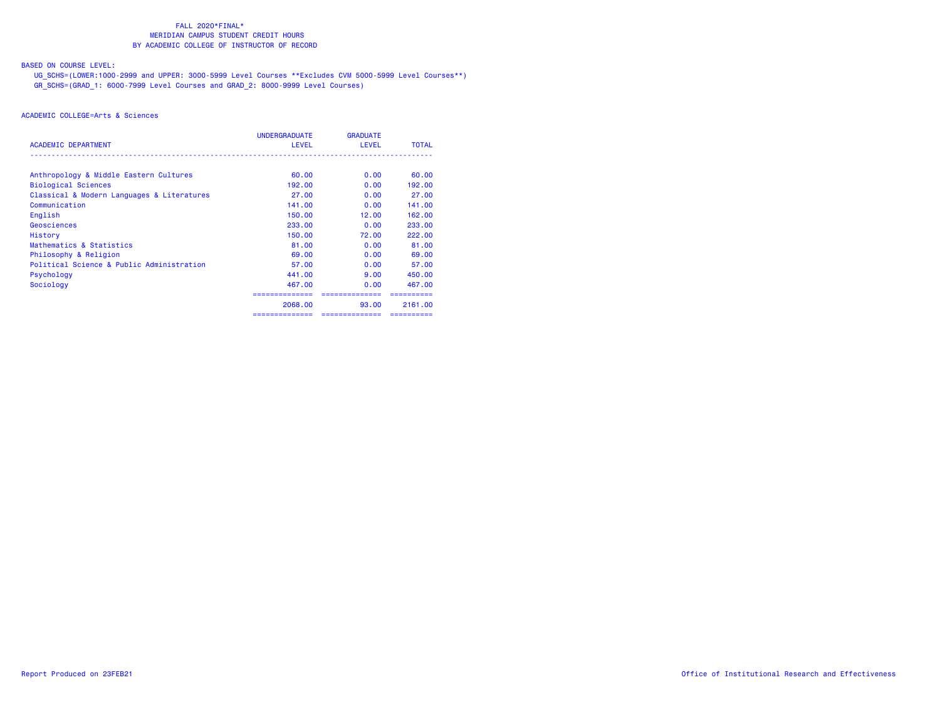# BASED ON COURSE LEVEL:

 UG\_SCHS=(LOWER:1000-2999 and UPPER: 3000-5999 Level Courses \*\*Excludes CVM 5000-5999 Level Courses\*\*) GR\_SCHS=(GRAD\_1: 6000-7999 Level Courses and GRAD\_2: 8000-9999 Level Courses)

|                                            | <b>UNDERGRADUATE</b> | <b>GRADUATE</b> |              |
|--------------------------------------------|----------------------|-----------------|--------------|
| <b>ACADEMIC DEPARTMENT</b>                 | <b>LEVEL</b>         | <b>LEVEL</b>    | <b>TOTAL</b> |
| Anthropology & Middle Eastern Cultures     | 60.00                | 0.00            | 60.00        |
| <b>Biological Sciences</b>                 | 192.00               | 0.00            | 192.00       |
| Classical & Modern Languages & Literatures | 27.00                | 0.00            | 27.00        |
| Communication                              | 141.00               | 0.00            | 141.00       |
| English                                    | 150.00               | 12.00           | 162,00       |
| Geosciences                                | 233,00               | 0.00            | 233.00       |
| History                                    | 150,00               | 72.00           | 222,00       |
| Mathematics & Statistics                   | 81.00                | 0.00            | 81.00        |
| Philosophy & Religion                      | 69.00                | 0.00            | 69.00        |
| Political Science & Public Administration  | 57.00                | 0.00            | 57.00        |
| Psychology                                 | 441.00               | 9.00            | 450.00       |
| Sociology                                  | 467.00               | 0.00            | 467.00       |
|                                            |                      |                 |              |
|                                            | 2068,00              | 93.00           | 2161.00      |
|                                            | ============         | ==============  |              |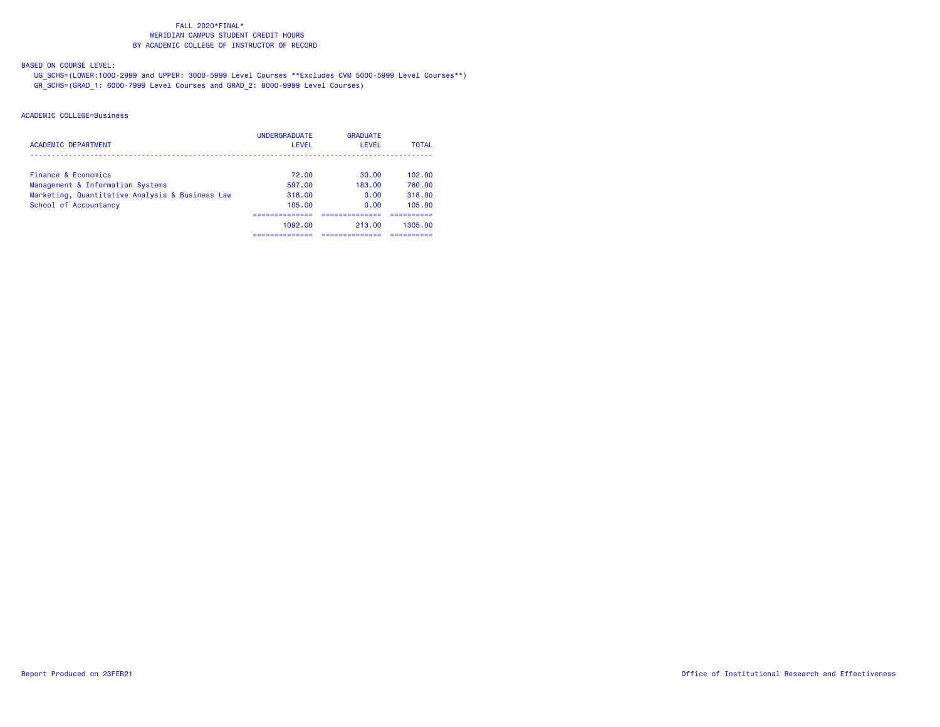BASED ON COURSE LEVEL:

 UG\_SCHS=(LOWER:1000-2999 and UPPER: 3000-5999 Level Courses \*\*Excludes CVM 5000-5999 Level Courses\*\*) GR\_SCHS=(GRAD\_1: 6000-7999 Level Courses and GRAD\_2: 8000-9999 Level Courses)

| <b>ACADEMIC DEPARTMENT</b>                      | <b>UNDERGRADUATE</b><br>LEVEL | <b>GRADUATE</b><br>LEVEL | <b>TOTAL</b> |
|-------------------------------------------------|-------------------------------|--------------------------|--------------|
| Finance & Economics                             | 72.00                         | 30.00                    | 102.00       |
| Management & Information Systems                | 597.00                        | 183.00                   | 780.00       |
| Marketing, Quantitative Analysis & Business Law | 318.00                        | 0.00                     | 318.00       |
| School of Accountancy                           | 105.00                        | 0.00                     | 105.00       |
|                                                 |                               |                          |              |
|                                                 | 1092.00                       | 213.00                   | 1305.00      |
|                                                 |                               |                          |              |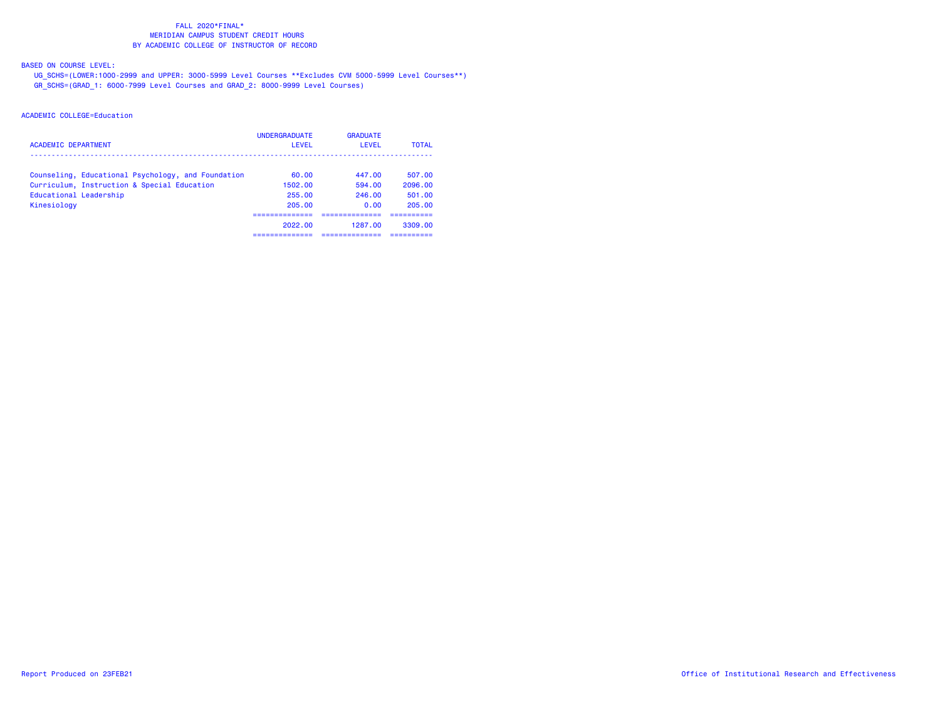BASED ON COURSE LEVEL:

 UG\_SCHS=(LOWER:1000-2999 and UPPER: 3000-5999 Level Courses \*\*Excludes CVM 5000-5999 Level Courses\*\*) GR\_SCHS=(GRAD\_1: 6000-7999 Level Courses and GRAD\_2: 8000-9999 Level Courses)

| <b>ACADEMIC DEPARTMENT</b>                         | <b>UNDERGRADUATE</b><br>LEVEL | <b>GRADUATE</b><br><b>LEVEL</b> | <b>TOTAL</b> |
|----------------------------------------------------|-------------------------------|---------------------------------|--------------|
| Counseling, Educational Psychology, and Foundation | 60.00                         | 447.00                          | 507.00       |
| Curriculum, Instruction & Special Education        | 1502.00                       | 594.00                          | 2096.00      |
| Educational Leadership                             | 255.00                        | 246.00                          | 501.00       |
| Kinesiology                                        | 205.00                        | 0.00                            | 205.00       |
|                                                    | ------------                  |                                 | ----------   |
|                                                    | 2022.00                       | 1287.00                         | 3309.00      |
|                                                    |                               |                                 |              |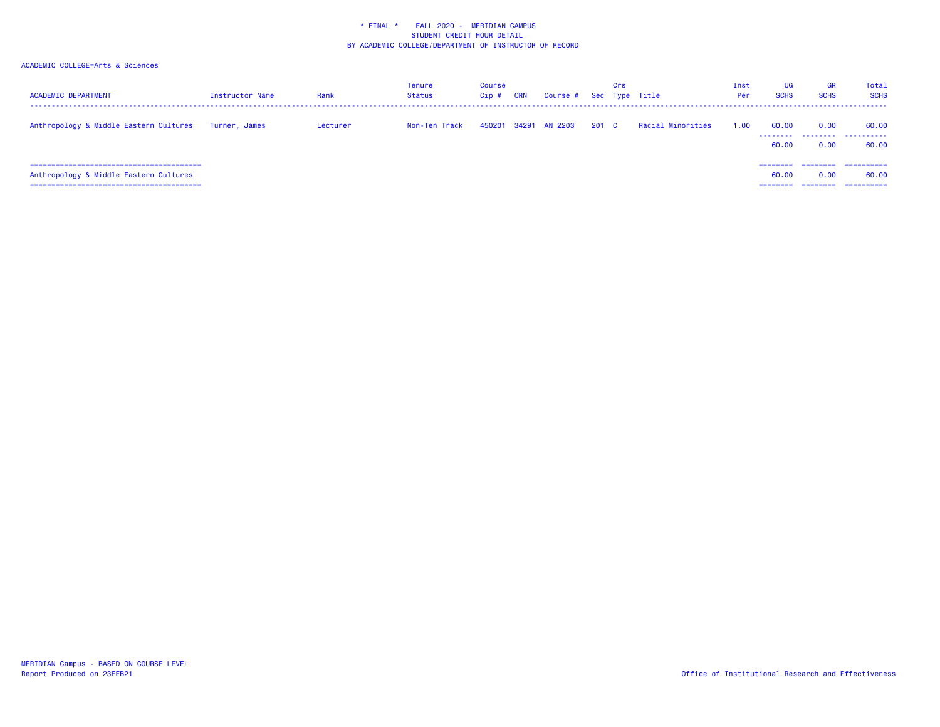| <b>ACADEMIC DEPARTMENT</b>             | Instructor Name | Rank     | Tenure<br>Status | Course<br>Cip# | <b>CRN</b> | Course #      |       | Crs | Sec Type Title    | Inst<br>Per | UG<br><b>SCHS</b>             | GR<br><b>SCHS</b>            | Total<br><b>SCHS</b>              |
|----------------------------------------|-----------------|----------|------------------|----------------|------------|---------------|-------|-----|-------------------|-------------|-------------------------------|------------------------------|-----------------------------------|
| Anthropology & Middle Eastern Cultures | Turner, James   | Lecturer | Non-Ten Track    | 450201         |            | 34291 AN 2203 | 201 C |     | Racial Minorities | 1.00        | 60.00<br>60.00                | 0.00<br>0.00                 | 60.00<br><br>60.00                |
| Anthropology & Middle Eastern Cultures |                 |          |                  |                |            |               |       |     |                   |             | --------<br>60.00<br>======== | ========<br>0.00<br>======== | ==========<br>60.00<br>========== |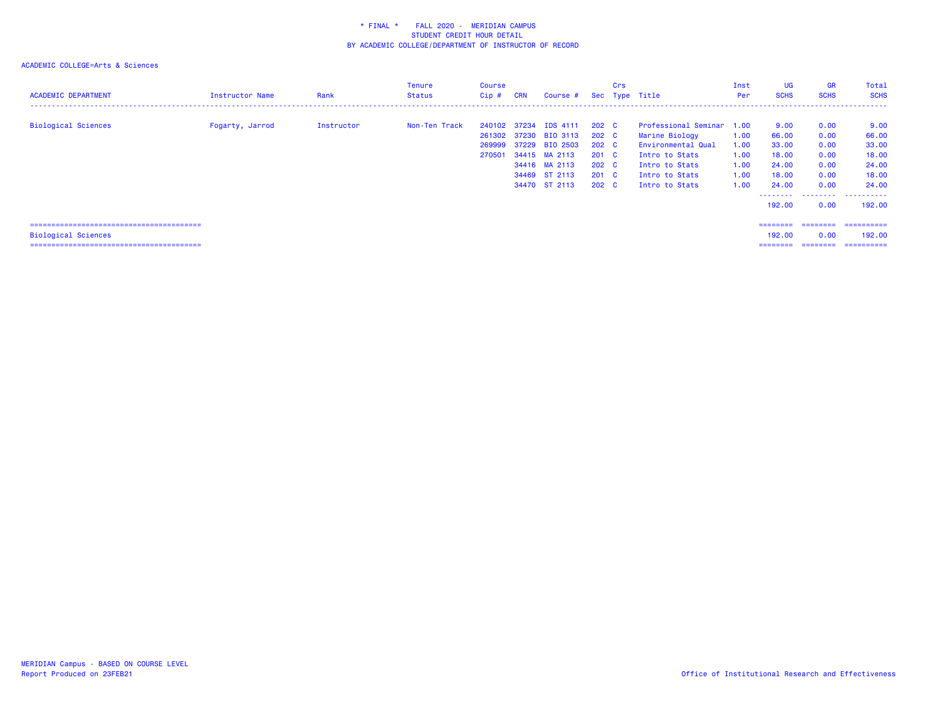| <b>ACADEMIC DEPARTMENT</b> | Instructor Name | Rank       | Tenure<br>Status | Course<br>Cip#                   | <b>CRN</b> | Course #                                                                                                                       |                                                                                                     | Crs | Sec Type Title                                                                                                                            | Inst<br>Per                                  | <b>UG</b><br><b>SCHS</b>                                   | <b>GR</b><br><b>SCHS</b>                             | Total<br><b>SCHS</b>                                       |
|----------------------------|-----------------|------------|------------------|----------------------------------|------------|--------------------------------------------------------------------------------------------------------------------------------|-----------------------------------------------------------------------------------------------------|-----|-------------------------------------------------------------------------------------------------------------------------------------------|----------------------------------------------|------------------------------------------------------------|------------------------------------------------------|------------------------------------------------------------|
| <b>Biological Sciences</b> | Fogarty, Jarrod | Instructor | Non-Ten Track    | 240102 37234<br>269999<br>270501 |            | <b>IDS 4111</b><br>261302 37230 BIO 3113<br>37229 BIO 2503<br>34415 MA 2113<br>34416 MA 2113<br>34469 ST 2113<br>34470 ST 2113 | $202 \quad C$<br>202 C<br>202 C<br>$201 \quad C$<br>$202 \quad C$<br>$201 \quad C$<br>$202 \quad C$ |     | Professional Seminar 1.00<br>Marine Biology<br>Environmental Qual<br>Intro to Stats<br>Intro to Stats<br>Intro to Stats<br>Intro to Stats | 1.00<br>1.00<br>1.00<br>1.00<br>1.00<br>1.00 | 9.00<br>66.00<br>33.00<br>18.00<br>24.00<br>18.00<br>24,00 | 0.00<br>0.00<br>0.00<br>0.00<br>0.00<br>0.00<br>0.00 | 9.00<br>66.00<br>33.00<br>18.00<br>24.00<br>18.00<br>24,00 |
|                            |                 |            |                  |                                  |            |                                                                                                                                |                                                                                                     |     |                                                                                                                                           |                                              | -------- <i>-</i><br>192.00                                | 0.00                                                 | 192.00                                                     |
| <b>Biological Sciences</b> |                 |            |                  |                                  |            |                                                                                                                                |                                                                                                     |     |                                                                                                                                           |                                              | ========<br>192.00<br>========                             | 0.00                                                 | ________________________<br>192,00<br>==========           |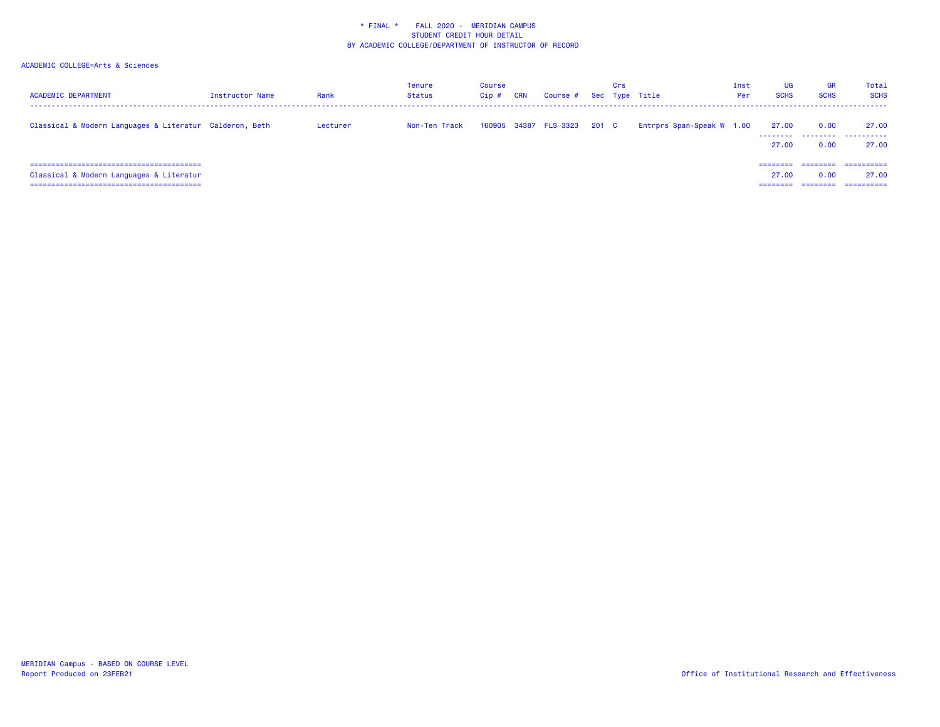| <b>ACADEMIC DEPARTMENT</b>                                                  | Instructor Name | Rank     | Tenure<br><b>Status</b> | Course<br>Cip# | <b>CRN</b> | Course #              |       | Crs | Sec Type Title            | Inst<br>Per | UG<br><b>SCHS</b>          | <b>GR</b><br><b>SCHS</b>     | Total<br><b>SCHS</b>              |
|-----------------------------------------------------------------------------|-----------------|----------|-------------------------|----------------|------------|-----------------------|-------|-----|---------------------------|-------------|----------------------------|------------------------------|-----------------------------------|
| Classical & Modern Languages & Literatur Calderon, Beth                     |                 | Lecturer | Non-Ten Track           |                |            | 160905 34387 FLS 3323 | 201 C |     | Entrprs Span-Speak W 1.00 |             | 27.00<br>27.00             | 0.00<br><br>0.00             | 27.00<br>.<br>27.00               |
| ===============================<br>Classical & Modern Languages & Literatur |                 |          |                         |                |            |                       |       |     |                           |             | $=$ = = = = = = =<br>27.00 | 0.00<br>________<br>-------- | ==========<br>27.00<br>========== |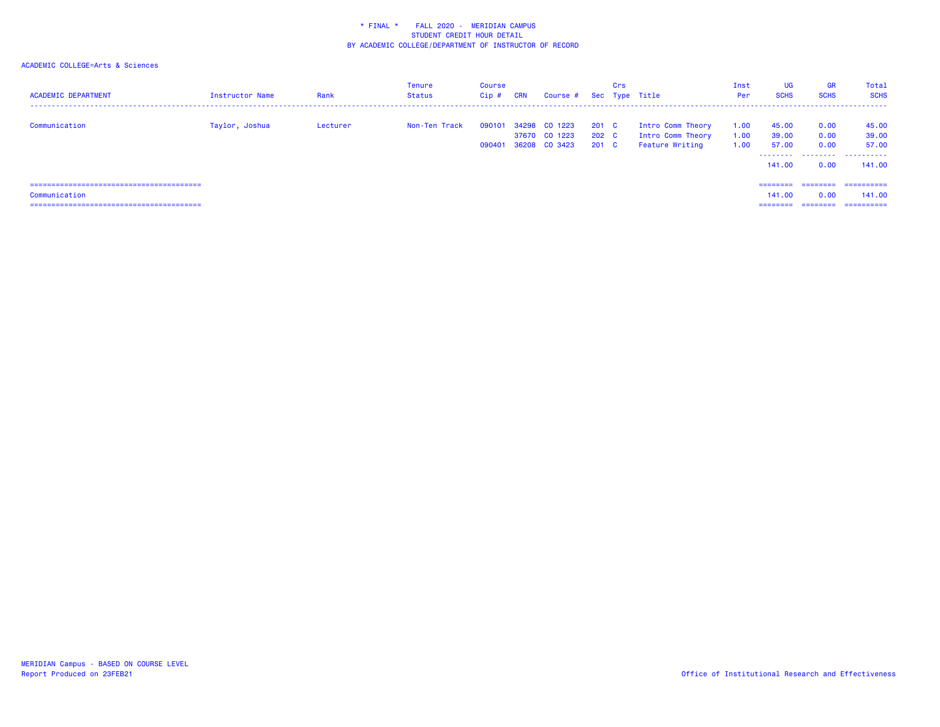| <b>ACADEMIC DEPARTMENT</b> | Instructor Name | Rank     | <b>Tenure</b><br>Status | Course<br>$Cip$ # | CRN | Course # Sec Type Title                                |                         | Crs |                                                           | Inst<br>Per          | UG<br><b>SCHS</b>                      | <b>GR</b><br><b>SCHS</b>              | Total<br><b>SCHS</b>                  |
|----------------------------|-----------------|----------|-------------------------|-------------------|-----|--------------------------------------------------------|-------------------------|-----|-----------------------------------------------------------|----------------------|----------------------------------------|---------------------------------------|---------------------------------------|
| Communication              | Taylor, Joshua  | Lecturer | Non-Ten Track           | 090101            |     | 34298 CO 1223<br>37670 CO 1223<br>090401 36208 CO 3423 | 201 C<br>202 C<br>201 C |     | Intro Comm Theory<br>Intro Comm Theory<br>Feature Writing | 1.00<br>1.00<br>1.00 | 45.00<br>39.00<br>57.00<br>.<br>141.00 | 0.00<br>0.00<br>0.00<br>0.00          | 45.00<br>39.00<br>57.00<br><br>141.00 |
| Communication              |                 |          |                         |                   |     |                                                        |                         |     |                                                           |                      | ---------<br>141.00<br>---------       | ========<br>0.00<br>$=$ = = = = = = = | ==========<br>141.00<br>==========    |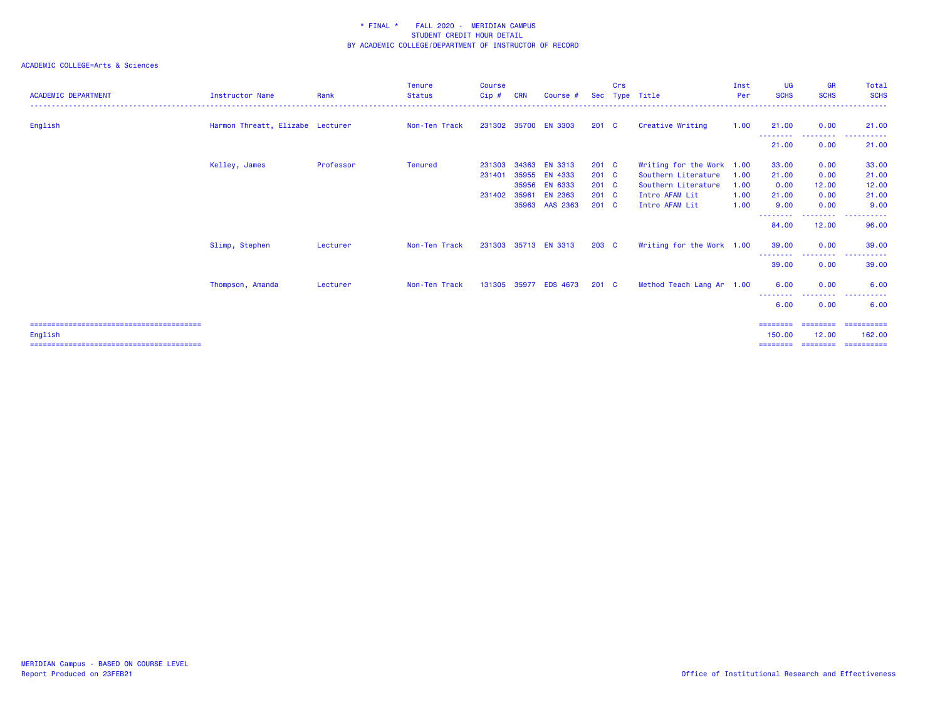| <b>ACADEMIC DEPARTMENT</b> | Instructor Name                  | Rank      | <b>Tenure</b><br><b>Status</b> | <b>Course</b><br>Cip# | <b>CRN</b>     | Course #                         | Sec                    | Crs | Type Title                                       | Inst<br>Per  | <b>UG</b><br><b>SCHS</b>       | <b>GR</b><br><b>SCHS</b>                                                                                                          | Total<br><b>SCHS</b><br>.          |
|----------------------------|----------------------------------|-----------|--------------------------------|-----------------------|----------------|----------------------------------|------------------------|-----|--------------------------------------------------|--------------|--------------------------------|-----------------------------------------------------------------------------------------------------------------------------------|------------------------------------|
| English                    | Harmon Threatt, Elizabe Lecturer |           | Non-Ten Track                  | 231302                |                | 35700 EN 3303                    | 201 C                  |     | Creative Writing                                 | 1.00         | 21.00                          | 0.00                                                                                                                              | 21.00                              |
|                            |                                  |           |                                |                       |                |                                  |                        |     |                                                  |              | ---------<br>21.00             | ---------<br>0.00                                                                                                                 | -------<br>----<br>21.00           |
|                            | Kelley, James                    | Professor | <b>Tenured</b>                 | 231303<br>231401      | 34363<br>35955 | <b>EN 3313</b><br>EN 4333        | 201 C<br>$201 \quad C$ |     | Writing for the Work 1.00<br>Southern Literature | 1.00         | 33.00<br>21.00                 | 0.00<br>0.00                                                                                                                      | 33.00<br>21.00                     |
|                            |                                  |           |                                | 231402                | 35956<br>35961 | <b>EN 6333</b><br><b>EN 2363</b> | 201 C<br>201 C         |     | Southern Literature<br>Intro AFAM Lit            | 1.00<br>1.00 | 0.00<br>21.00                  | 12.00<br>0.00                                                                                                                     | 12.00<br>21.00                     |
|                            |                                  |           |                                |                       | 35963          | AAS 2363                         | 201 C                  |     | Intro AFAM Lit                                   | 1.00         | 9.00<br>--------               | 0.00<br>$\frac{1}{2} \left( \frac{1}{2} \right) \left( \frac{1}{2} \right) \left( \frac{1}{2} \right) \left( \frac{1}{2} \right)$ | 9.00<br>$    -$                    |
|                            |                                  |           |                                |                       |                |                                  |                        |     |                                                  |              | 84.00                          | 12.00                                                                                                                             | 96.00                              |
|                            | Slimp, Stephen                   | Lecturer  | Non-Ten Track                  |                       |                | 231303 35713 EN 3313             | 203 C                  |     | Writing for the Work 1.00                        |              | 39.00                          | 0.00                                                                                                                              | 39.00                              |
|                            |                                  |           |                                |                       |                |                                  |                        |     |                                                  |              | --------<br>39.00              | --------<br>0.00                                                                                                                  | .<br>39.00                         |
|                            | Thompson, Amanda                 | Lecturer  | Non-Ten Track                  | 131305                |                | 35977 EDS 4673                   | 201 C                  |     | Method Teach Lang Ar 1.00                        |              | 6.00                           | 0.00                                                                                                                              | 6.00                               |
|                            |                                  |           |                                |                       |                |                                  |                        |     |                                                  |              | 6.00                           | 0.00                                                                                                                              | 6.00                               |
| English                    |                                  |           |                                |                       |                |                                  |                        |     |                                                  |              | ========<br>150.00<br>======== | ========<br>12.00<br>---------                                                                                                    | ==========<br>162.00<br>========== |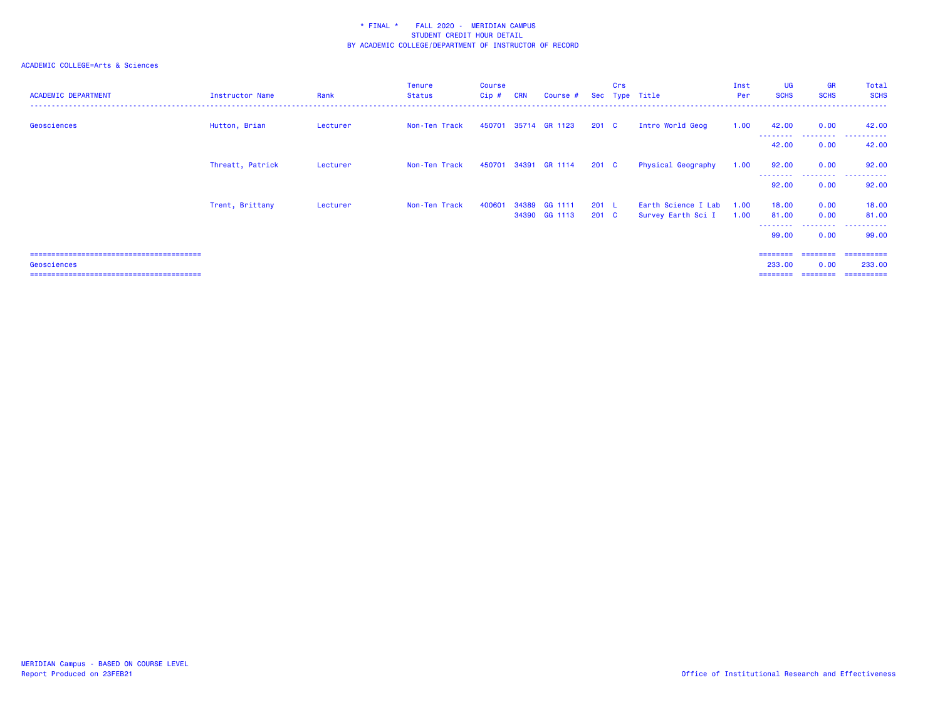| <b>ACADEMIC DEPARTMENT</b>  | Instructor Name  | Rank     | <b>Tenure</b><br><b>Status</b> | Course<br>Cip# | <b>CRN</b> | Course #                 |                  | Crs | Sec Type Title                            | Inst<br>Per  | <b>UG</b><br><b>SCHS</b> | <b>GR</b><br><b>SCHS</b> | Total<br><b>SCHS</b>  |
|-----------------------------|------------------|----------|--------------------------------|----------------|------------|--------------------------|------------------|-----|-------------------------------------------|--------------|--------------------------|--------------------------|-----------------------|
| Geosciences                 | Hutton, Brian    | Lecturer | Non-Ten Track                  |                |            | 450701 35714 GR 1123     | 201 <sub>c</sub> |     | Intro World Geog                          | 1.00         | 42.00<br>---------       | 0.00<br>.                | 42.00<br>.            |
|                             |                  |          |                                |                |            |                          |                  |     |                                           |              | 42.00                    | 0.00                     | 42.00                 |
|                             | Threatt, Patrick | Lecturer | Non-Ten Track                  |                |            | 450701 34391 GR 1114     | $201 \quad C$    |     | Physical Geography                        | 1.00         | 92.00                    | 0.00                     | 92.00                 |
|                             |                  |          |                                |                |            |                          |                  |     |                                           |              | .<br>92.00               | .<br>0.00                | .<br>92.00            |
|                             | Trent, Brittany  | Lecturer | Non-Ten Track                  | 400601         | 34389      | GG 1111<br>34390 GG 1113 | 201 L<br>201 C   |     | Earth Science I Lab<br>Survey Earth Sci I | 1.00<br>1.00 | 18.00<br>81.00           | 0.00<br>0.00             | 18.00<br>81.00        |
|                             |                  |          |                                |                |            |                          |                  |     |                                           |              | --------<br>99.00        | ---------<br>0.00        | .<br>99.00            |
| Geosciences                 |                  |          |                                |                |            |                          |                  |     |                                           |              | ---------<br>233.00      | ---------<br>0.00        | -==========<br>233,00 |
| ;========================== |                  |          |                                |                |            |                          |                  |     |                                           |              |                          |                          |                       |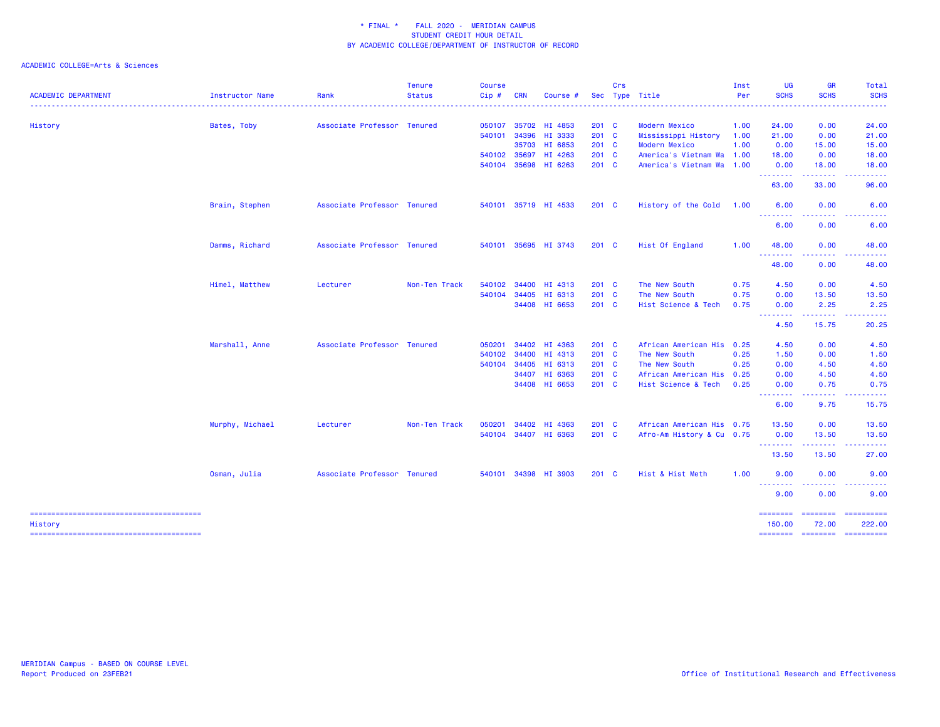|                            |                 |                             | <b>Tenure</b> | <b>Course</b> |            |                      |               | Crs |                           | Inst | <b>UG</b>                        | <b>GR</b>                                                                                                                                                                                                                                                                                                                                                                                                                                                                                       | Total                                                                                                                                                                                                                                                                                                                                                                                                                                                                                            |
|----------------------------|-----------------|-----------------------------|---------------|---------------|------------|----------------------|---------------|-----|---------------------------|------|----------------------------------|-------------------------------------------------------------------------------------------------------------------------------------------------------------------------------------------------------------------------------------------------------------------------------------------------------------------------------------------------------------------------------------------------------------------------------------------------------------------------------------------------|--------------------------------------------------------------------------------------------------------------------------------------------------------------------------------------------------------------------------------------------------------------------------------------------------------------------------------------------------------------------------------------------------------------------------------------------------------------------------------------------------|
| <b>ACADEMIC DEPARTMENT</b> | Instructor Name | Rank                        | <b>Status</b> | Cip#          | <b>CRN</b> | Course #             |               |     | Sec Type Title            | Per  | <b>SCHS</b>                      | <b>SCHS</b>                                                                                                                                                                                                                                                                                                                                                                                                                                                                                     | <b>SCHS</b><br>$\frac{1}{2} \left( \frac{1}{2} \right) \left( \frac{1}{2} \right) \left( \frac{1}{2} \right) \left( \frac{1}{2} \right)$                                                                                                                                                                                                                                                                                                                                                         |
| History                    | Bates, Toby     | Associate Professor Tenured |               | 050107        | 35702      | HI 4853              | $201 \quad C$ |     | Modern Mexico             | 1.00 | 24.00                            | 0.00                                                                                                                                                                                                                                                                                                                                                                                                                                                                                            | 24.00                                                                                                                                                                                                                                                                                                                                                                                                                                                                                            |
|                            |                 |                             |               | 540101        | 34396      | HI 3333              | 201 C         |     | Mississippi History       | 1.00 | 21.00                            | 0.00                                                                                                                                                                                                                                                                                                                                                                                                                                                                                            | 21.00                                                                                                                                                                                                                                                                                                                                                                                                                                                                                            |
|                            |                 |                             |               |               | 35703      | HI 6853              | $201 \quad C$ |     | <b>Modern Mexico</b>      | 1.00 | 0.00                             | 15.00                                                                                                                                                                                                                                                                                                                                                                                                                                                                                           | 15.00                                                                                                                                                                                                                                                                                                                                                                                                                                                                                            |
|                            |                 |                             |               | 540102        | 35697      | HI 4263              | $201$ C       |     | America's Vietnam Wa 1.00 |      | 18.00                            | 0.00                                                                                                                                                                                                                                                                                                                                                                                                                                                                                            | 18.00                                                                                                                                                                                                                                                                                                                                                                                                                                                                                            |
|                            |                 |                             |               | 540104        | 35698      | HI 6263              | $201 \quad C$ |     | America's Vietnam Wa 1.00 |      | 0.00<br>--------                 | 18.00<br>.                                                                                                                                                                                                                                                                                                                                                                                                                                                                                      | 18.00<br>.                                                                                                                                                                                                                                                                                                                                                                                                                                                                                       |
|                            |                 |                             |               |               |            |                      |               |     |                           |      | 63.00                            | 33.00                                                                                                                                                                                                                                                                                                                                                                                                                                                                                           | 96.00                                                                                                                                                                                                                                                                                                                                                                                                                                                                                            |
|                            | Brain, Stephen  | Associate Professor Tenured |               |               |            | 540101 35719 HI 4533 | $201 \quad C$ |     | History of the Cold       | 1.00 | 6.00<br><u> - - - - - - - -</u>  | 0.00<br>. <u>.</u> .                                                                                                                                                                                                                                                                                                                                                                                                                                                                            | 6.00<br>-----                                                                                                                                                                                                                                                                                                                                                                                                                                                                                    |
|                            |                 |                             |               |               |            |                      |               |     |                           |      | 6.00                             | 0.00                                                                                                                                                                                                                                                                                                                                                                                                                                                                                            | 6.00                                                                                                                                                                                                                                                                                                                                                                                                                                                                                             |
|                            | Damms, Richard  | Associate Professor Tenured |               | 540101        |            | 35695 HI 3743        | $201 \quad C$ |     | Hist Of England           | 1.00 | 48.00<br><u> - - - - - - - -</u> | 0.00<br>.                                                                                                                                                                                                                                                                                                                                                                                                                                                                                       | 48.00                                                                                                                                                                                                                                                                                                                                                                                                                                                                                            |
|                            |                 |                             |               |               |            |                      |               |     |                           |      | 48.00                            | 0.00                                                                                                                                                                                                                                                                                                                                                                                                                                                                                            | 48.00                                                                                                                                                                                                                                                                                                                                                                                                                                                                                            |
|                            | Himel, Matthew  | Lecturer                    | Non-Ten Track | 540102        | 34400      | HI 4313              | $201$ C       |     | The New South             | 0.75 | 4.50                             | 0.00                                                                                                                                                                                                                                                                                                                                                                                                                                                                                            | 4.50                                                                                                                                                                                                                                                                                                                                                                                                                                                                                             |
|                            |                 |                             |               | 540104        | 34405      | HI 6313              | $201$ C       |     | The New South             | 0.75 | 0.00                             | 13.50                                                                                                                                                                                                                                                                                                                                                                                                                                                                                           | 13.50                                                                                                                                                                                                                                                                                                                                                                                                                                                                                            |
|                            |                 |                             |               |               |            | 34408 HI 6653        | 201 C         |     | Hist Science & Tech       | 0.75 | 0.00                             | 2.25                                                                                                                                                                                                                                                                                                                                                                                                                                                                                            | 2.25                                                                                                                                                                                                                                                                                                                                                                                                                                                                                             |
|                            |                 |                             |               |               |            |                      |               |     |                           |      | --------<br>4.50                 | $\begin{array}{cccccccccccccc} \multicolumn{2}{c}{} & \multicolumn{2}{c}{} & \multicolumn{2}{c}{} & \multicolumn{2}{c}{} & \multicolumn{2}{c}{} & \multicolumn{2}{c}{} & \multicolumn{2}{c}{} & \multicolumn{2}{c}{} & \multicolumn{2}{c}{} & \multicolumn{2}{c}{} & \multicolumn{2}{c}{} & \multicolumn{2}{c}{} & \multicolumn{2}{c}{} & \multicolumn{2}{c}{} & \multicolumn{2}{c}{} & \multicolumn{2}{c}{} & \multicolumn{2}{c}{} & \multicolumn{2}{c}{} & \multicolumn{2}{c}{} & \$<br>15.75 | .<br>20.25                                                                                                                                                                                                                                                                                                                                                                                                                                                                                       |
|                            | Marshall, Anne  | Associate Professor Tenured |               | 050201        |            | 34402 HI 4363        | $201$ C       |     | African American His 0.25 |      | 4.50                             | 0.00                                                                                                                                                                                                                                                                                                                                                                                                                                                                                            | 4.50                                                                                                                                                                                                                                                                                                                                                                                                                                                                                             |
|                            |                 |                             |               | 540102        | 34400      | HI 4313              | $201$ C       |     | The New South             | 0.25 | 1.50                             | 0.00                                                                                                                                                                                                                                                                                                                                                                                                                                                                                            | 1.50                                                                                                                                                                                                                                                                                                                                                                                                                                                                                             |
|                            |                 |                             |               | 540104        | 34405      | HI 6313              | 201 C         |     | The New South             | 0.25 | 0.00                             | 4.50                                                                                                                                                                                                                                                                                                                                                                                                                                                                                            | 4.50                                                                                                                                                                                                                                                                                                                                                                                                                                                                                             |
|                            |                 |                             |               |               |            | 34407 HI 6363        | $201$ C       |     | African American His 0.25 |      | 0.00                             | 4.50                                                                                                                                                                                                                                                                                                                                                                                                                                                                                            | 4.50                                                                                                                                                                                                                                                                                                                                                                                                                                                                                             |
|                            |                 |                             |               |               |            | 34408 HI 6653        | $201$ C       |     | Hist Science & Tech       | 0.25 | 0.00<br>--------                 | 0.75<br>.                                                                                                                                                                                                                                                                                                                                                                                                                                                                                       | 0.75<br>.                                                                                                                                                                                                                                                                                                                                                                                                                                                                                        |
|                            |                 |                             |               |               |            |                      |               |     |                           |      | 6.00                             | 9.75                                                                                                                                                                                                                                                                                                                                                                                                                                                                                            | 15.75                                                                                                                                                                                                                                                                                                                                                                                                                                                                                            |
|                            | Murphy, Michael | Lecturer                    | Non-Ten Track | 050201        | 34402      | HI 4363              | $201$ C       |     | African American His 0.75 |      | 13.50                            | 0.00                                                                                                                                                                                                                                                                                                                                                                                                                                                                                            | 13.50                                                                                                                                                                                                                                                                                                                                                                                                                                                                                            |
|                            |                 |                             |               | 540104        |            | 34407 HI 6363        | $201$ C       |     | Afro-Am History & Cu 0.75 |      | 0.00<br><u> - - - - - - - -</u>  | 13.50<br>-----                                                                                                                                                                                                                                                                                                                                                                                                                                                                                  | 13.50<br>.                                                                                                                                                                                                                                                                                                                                                                                                                                                                                       |
|                            |                 |                             |               |               |            |                      |               |     |                           |      | 13.50                            | 13.50                                                                                                                                                                                                                                                                                                                                                                                                                                                                                           | 27.00                                                                                                                                                                                                                                                                                                                                                                                                                                                                                            |
|                            | Osman, Julia    | Associate Professor Tenured |               | 540101        |            | 34398 HI 3903        | $201 \quad C$ |     | Hist & Hist Meth          | 1.00 | 9.00<br><u> - - - - - - - -</u>  | 0.00<br>.                                                                                                                                                                                                                                                                                                                                                                                                                                                                                       | 9.00                                                                                                                                                                                                                                                                                                                                                                                                                                                                                             |
|                            |                 |                             |               |               |            |                      |               |     |                           |      | 9.00                             | 0.00                                                                                                                                                                                                                                                                                                                                                                                                                                                                                            | 9.00                                                                                                                                                                                                                                                                                                                                                                                                                                                                                             |
| History                    |                 |                             |               |               |            |                      |               |     |                           |      | <b>EEEEEEEE</b><br>150.00        | <b>ESSESSE</b><br>72.00                                                                                                                                                                                                                                                                                                                                                                                                                                                                         | $\begin{array}{cccccccccc} \multicolumn{2}{c}{} & \multicolumn{2}{c}{} & \multicolumn{2}{c}{} & \multicolumn{2}{c}{} & \multicolumn{2}{c}{} & \multicolumn{2}{c}{} & \multicolumn{2}{c}{} & \multicolumn{2}{c}{} & \multicolumn{2}{c}{} & \multicolumn{2}{c}{} & \multicolumn{2}{c}{} & \multicolumn{2}{c}{} & \multicolumn{2}{c}{} & \multicolumn{2}{c}{} & \multicolumn{2}{c}{} & \multicolumn{2}{c}{} & \multicolumn{2}{c}{} & \multicolumn{2}{c}{} & \multicolumn{2}{c}{} & \mult$<br>222.00 |
|                            |                 |                             |               |               |            |                      |               |     |                           |      | ======== =======                 |                                                                                                                                                                                                                                                                                                                                                                                                                                                                                                 | -----------                                                                                                                                                                                                                                                                                                                                                                                                                                                                                      |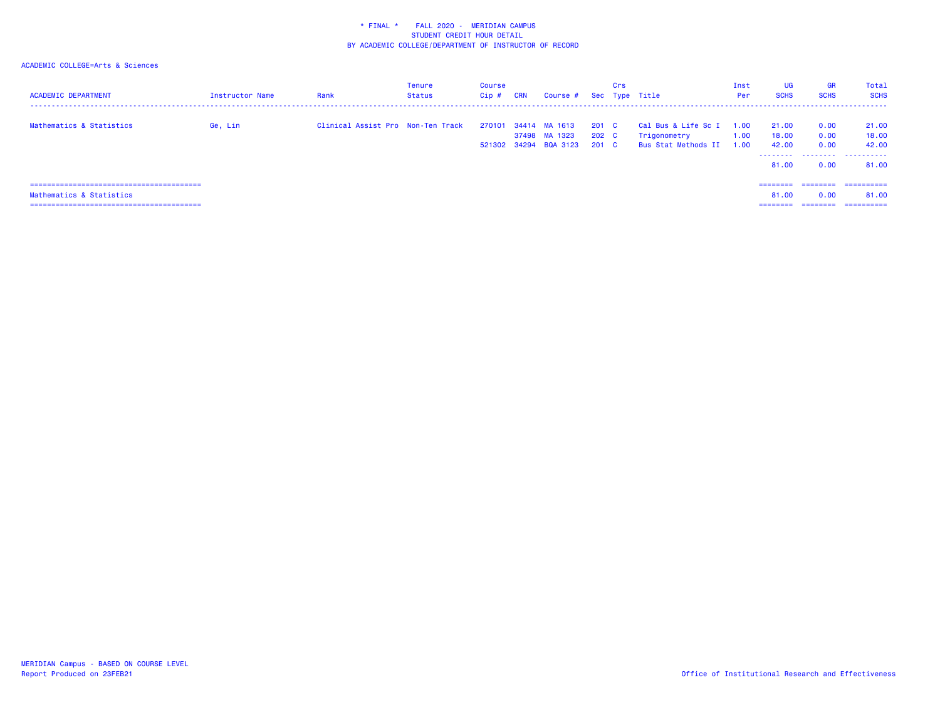| <b>ACADEMIC DEPARTMENT</b> | <b>Instructor Name</b> | Rank                              | <b>Tenure</b><br>Status | Course<br>Cip# | <b>CRN</b> | Course #                                                |                         | Crs | Sec Type Title                                             | Inst<br>Per                         | UG<br><b>SCHS</b>            | <b>GR</b><br><b>SCHS</b>                                                                                                                                                                                                                                                                                                                                                                                                                                                               | Total<br><b>SCHS</b>         |
|----------------------------|------------------------|-----------------------------------|-------------------------|----------------|------------|---------------------------------------------------------|-------------------------|-----|------------------------------------------------------------|-------------------------------------|------------------------------|----------------------------------------------------------------------------------------------------------------------------------------------------------------------------------------------------------------------------------------------------------------------------------------------------------------------------------------------------------------------------------------------------------------------------------------------------------------------------------------|------------------------------|
| Mathematics & Statistics   | Ge, Lin                | Clinical Assist Pro Non-Ten Track |                         | 270101         |            | 34414 MA 1613<br>37498 MA 1323<br>521302 34294 BQA 3123 | 201 C<br>202 C<br>201 C |     | Cal Bus & Life Sc I<br>Trigonometry<br>Bus Stat Methods II | $\overline{0}$ . ا<br>1.00<br>0.001 | 21.00<br>18.00<br>42.00<br>. | 0.00<br>0.00<br>0.00<br>.                                                                                                                                                                                                                                                                                                                                                                                                                                                              | 21.00<br>18.00<br>42.00<br>. |
|                            |                        |                                   |                         |                |            |                                                         |                         |     |                                                            |                                     | 81.00                        | 0.00                                                                                                                                                                                                                                                                                                                                                                                                                                                                                   | 81.00                        |
|                            |                        |                                   |                         |                |            |                                                         |                         |     |                                                            |                                     | ---------                    |                                                                                                                                                                                                                                                                                                                                                                                                                                                                                        | -----------                  |
| Mathematics & Statistics   |                        |                                   |                         |                |            |                                                         |                         |     |                                                            |                                     | 81.00                        | 0.00                                                                                                                                                                                                                                                                                                                                                                                                                                                                                   | 81.00                        |
|                            |                        |                                   |                         |                |            |                                                         |                         |     |                                                            |                                     | ---------                    | $\begin{array}{cccccccccc} \multicolumn{2}{c}{} & \multicolumn{2}{c}{} & \multicolumn{2}{c}{} & \multicolumn{2}{c}{} & \multicolumn{2}{c}{} & \multicolumn{2}{c}{} & \multicolumn{2}{c}{} & \multicolumn{2}{c}{} & \multicolumn{2}{c}{} & \multicolumn{2}{c}{} & \multicolumn{2}{c}{} & \multicolumn{2}{c}{} & \multicolumn{2}{c}{} & \multicolumn{2}{c}{} & \multicolumn{2}{c}{} & \multicolumn{2}{c}{} & \multicolumn{2}{c}{} & \multicolumn{2}{c}{} & \multicolumn{2}{c}{} & \mult$ | ==========                   |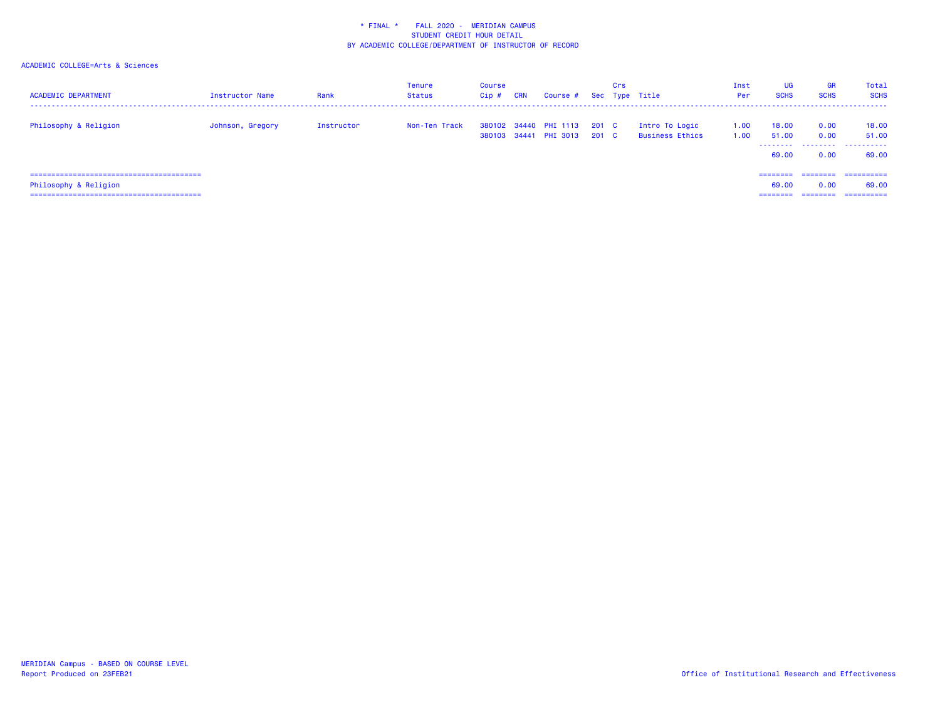| <b>ACADEMIC DEPARTMENT</b>      | <b>Instructor Name</b> | Rank       | <b>Tenure</b><br>Status | Course<br>$Cip$ # | CRN | Course # Sec Type Title                              |       | <b>Crs</b> |                                          | Inst<br>Per  | UG<br><b>SCHS</b>       | <b>GR</b><br><b>SCHS</b> | Total<br><b>SCHS</b>        |
|---------------------------------|------------------------|------------|-------------------------|-------------------|-----|------------------------------------------------------|-------|------------|------------------------------------------|--------------|-------------------------|--------------------------|-----------------------------|
| Philosophy & Religion           | Johnson, Gregory       | Instructor | Non-Ten Track           |                   |     | 380102 34440 PHI 1113 201 C<br>380103 34441 PHI 3013 | 201 C |            | Intro To Logic<br><b>Business Ethics</b> | 1.00<br>1.00 | 18.00<br>51.00<br>69.00 | 0.00<br>0.00<br>0.00     | 18.00<br>51.00<br><br>69.00 |
| :============================== |                        |            |                         |                   |     |                                                      |       |            |                                          |              | --------                | ========                 | ==========                  |
| Philosophy & Religion           |                        |            |                         |                   |     |                                                      |       |            |                                          |              | 69.00                   | 0.00                     | 69.00                       |
|                                 |                        |            |                         |                   |     |                                                      |       |            |                                          |              |                         | ========                 | =========                   |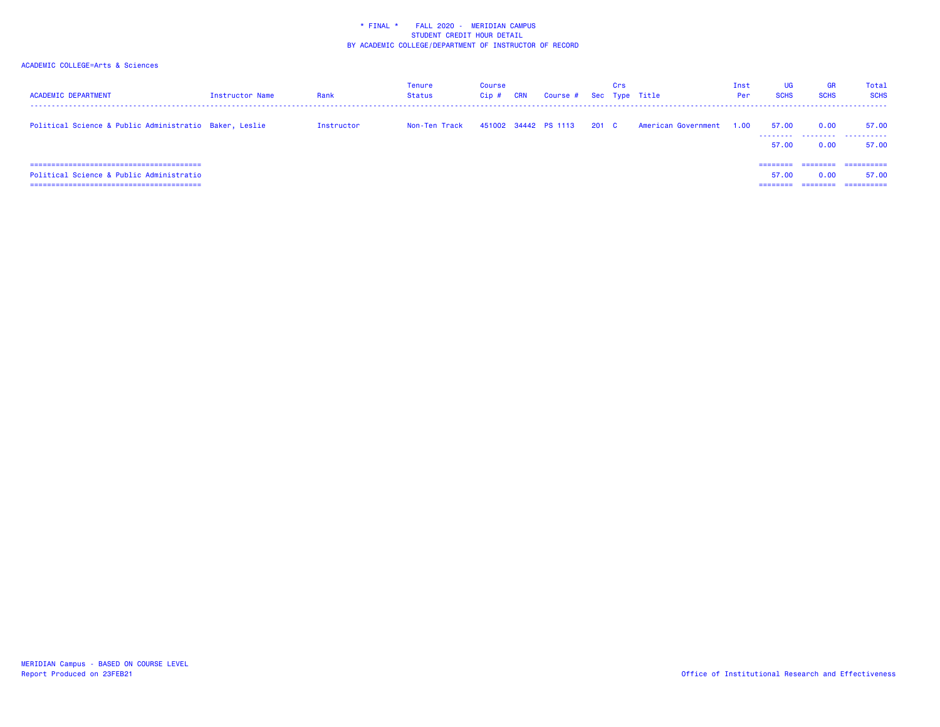| <b>ACADEMIC DEPARTMENT</b>                             | <b>Instructor Name</b> | Rank       | Tenure<br>Status | Course<br>Cip# | <b>CRN</b> | Course #             |       | Crs | Sec Type Title           | Inst<br>Per | UG<br><b>SCHS</b>             | <b>GR</b><br><b>SCHS</b> | Total<br><b>SCHS</b>              |
|--------------------------------------------------------|------------------------|------------|------------------|----------------|------------|----------------------|-------|-----|--------------------------|-------------|-------------------------------|--------------------------|-----------------------------------|
| Political Science & Public Administratio Baker, Leslie |                        | Instructor | Non-Ten Track    |                |            | 451002 34442 PS 1113 | 201 C |     | American Government 1.00 |             | 57.00<br>.<br>57.00           | 0.00<br>0.00             | 57.00<br>57.00                    |
| Political Science & Public Administratio               |                        |            |                  |                |            |                      |       |     |                          |             | --------<br>57.00<br>======== | 0.00<br>========         | ==========<br>57.00<br>========== |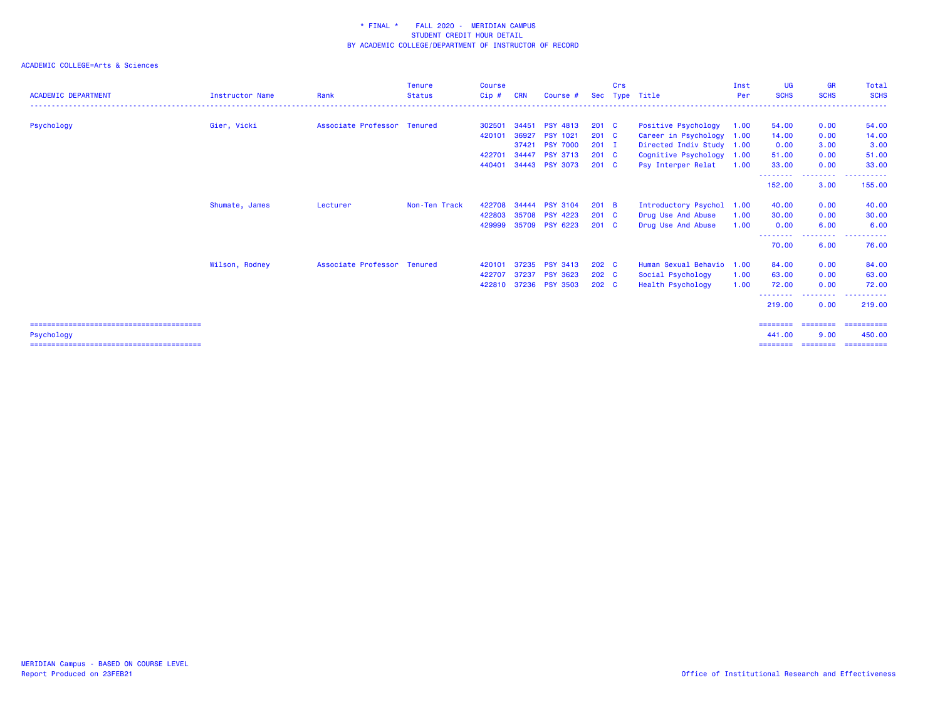| <b>ACADEMIC DEPARTMENT</b> | Instructor Name | Rank                        | <b>Tenure</b><br><b>Status</b> | <b>Course</b><br>Cip# | <b>CRN</b> | Course #        |                  | Crs | Sec Type Title            | Inst<br>Per | <b>UG</b><br><b>SCHS</b>    | <b>GR</b><br><b>SCHS</b> | Total<br><b>SCHS</b><br>------ |
|----------------------------|-----------------|-----------------------------|--------------------------------|-----------------------|------------|-----------------|------------------|-----|---------------------------|-------------|-----------------------------|--------------------------|--------------------------------|
| Psychology                 | Gier, Vicki     | Associate Professor Tenured |                                | 302501                | 34451      | <b>PSY 4813</b> | 201 <sub>c</sub> |     | Positive Psychology       | 1.00        | 54.00                       | 0.00                     | 54.00                          |
|                            |                 |                             |                                | 420101                | 36927      | <b>PSY 1021</b> | $201 \quad C$    |     | Career in Psychology      | 1.00        | 14.00                       | 0.00                     | 14.00                          |
|                            |                 |                             |                                |                       | 37421      | <b>PSY 7000</b> | $201$ I          |     | Directed Indiv Study 1.00 |             | 0.00                        | 3.00                     | 3.00                           |
|                            |                 |                             |                                | 422701                | 34447      | <b>PSY 3713</b> | $201 \quad C$    |     | Cognitive Psychology 1.00 |             | 51.00                       | 0.00                     | 51.00                          |
|                            |                 |                             |                                | 440401                |            | 34443 PSY 3073  | $201 \quad C$    |     | Psy Interper Relat        | 1.00        | 33.00                       | 0.00                     | 33,00                          |
|                            |                 |                             |                                |                       |            |                 |                  |     |                           |             | - - - - - - - - -<br>152.00 | ------<br>3.00           | .<br>155.00                    |
|                            | Shumate, James  | Lecturer                    | Non-Ten Track                  | 422708                | 34444      | <b>PSY 3104</b> | 201 B            |     | Introductory Psychol      | 1.00        | 40.00                       | 0.00                     | 40.00                          |
|                            |                 |                             |                                | 422803                | 35708      | <b>PSY 4223</b> | $201 \quad C$    |     | Drug Use And Abuse        | 1.00        | 30.00                       | 0.00                     | 30.00                          |
|                            |                 |                             |                                | 429999                |            | 35709 PSY 6223  | $201$ C          |     | Drug Use And Abuse        | 1.00        | 0.00                        | 6.00                     | 6.00                           |
|                            |                 |                             |                                |                       |            |                 |                  |     |                           |             | --------                    | ---------                | .<br>$- - -$                   |
|                            |                 |                             |                                |                       |            |                 |                  |     |                           |             | 70.00                       | 6.00                     | 76.00                          |
|                            | Wilson, Rodney  | Associate Professor Tenured |                                | 420101                | 37235      | <b>PSY 3413</b> | 202 C            |     | Human Sexual Behavio      | 1.00        | 84.00                       | 0.00                     | 84.00                          |
|                            |                 |                             |                                | 422707                | 37237      | <b>PSY 3623</b> | 202 C            |     | Social Psychology         | 1.00        | 63.00                       | 0.00                     | 63.00                          |
|                            |                 |                             |                                | 422810                |            | 37236 PSY 3503  | 202 C            |     | <b>Health Psychology</b>  | 1.00        | 72.00                       | 0.00                     | 72.00                          |
|                            |                 |                             |                                |                       |            |                 |                  |     |                           |             | --------<br>219.00          | .<br>0.00                | .<br>$\frac{1}{2}$<br>219,00   |
|                            |                 |                             |                                |                       |            |                 |                  |     |                           |             | ========                    | $=$ = = = = = = =        |                                |
| Psychology                 |                 |                             |                                |                       |            |                 |                  |     |                           |             | 441.00                      | 9.00                     | 450.00                         |
|                            |                 |                             |                                |                       |            |                 |                  |     |                           |             | ========                    |                          | ________________________       |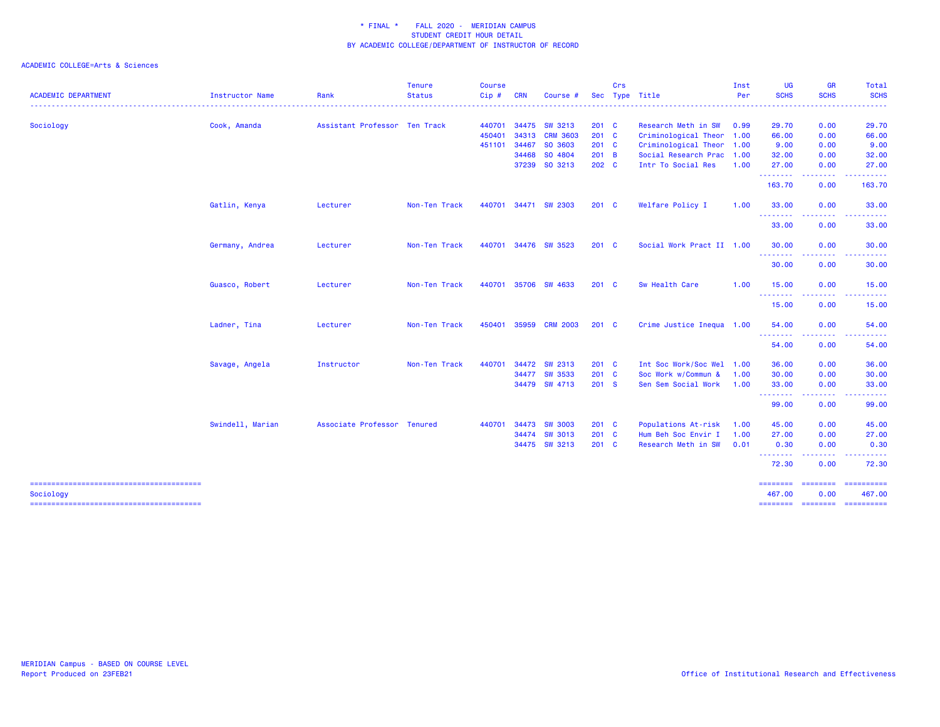|                            |                  |                               | <b>Tenure</b> | <b>Course</b> |            |                |               | Crs |                           | Inst | <b>UG</b>         | <b>GR</b>       | <b>Total</b>                |
|----------------------------|------------------|-------------------------------|---------------|---------------|------------|----------------|---------------|-----|---------------------------|------|-------------------|-----------------|-----------------------------|
| <b>ACADEMIC DEPARTMENT</b> | Instructor Name  | Rank                          | <b>Status</b> | Cip#          | <b>CRN</b> | Course #       |               |     | Sec Type Title            | Per  | <b>SCHS</b>       | <b>SCHS</b>     | <b>SCHS</b>                 |
| Sociology                  | Cook, Amanda     | Assistant Professor Ten Track |               | 440701        |            | 34475 SW 3213  | $201$ C       |     | Research Meth in SW       | 0.99 | 29.70             | 0.00            | 29.70                       |
|                            |                  |                               |               | 450401        |            | 34313 CRM 3603 | $201$ C       |     | Criminological Theor 1.00 |      | 66.00             | 0.00            | 66.00                       |
|                            |                  |                               |               | 451101        |            | 34467 SO 3603  | 201 C         |     | Criminological Theor 1.00 |      | 9.00              | 0.00            | 9.00                        |
|                            |                  |                               |               |               |            | 34468 SO 4804  | 201 B         |     | Social Research Prac 1.00 |      | 32.00             | 0.00            | 32.00                       |
|                            |                  |                               |               |               |            | 37239 SO 3213  | 202 C         |     | Intr To Social Res        | 1.00 | 27.00<br><u>.</u> | 0.00<br>.       | 27.00                       |
|                            |                  |                               |               |               |            |                |               |     |                           |      | 163.70            | 0.00            | 163.70                      |
|                            | Gatlin, Kenya    | Lecturer                      | Non-Ten Track | 440701        |            | 34471 SW 2303  | 201 C         |     | Welfare Policy I          | 1.00 | 33.00<br>.        | 0.00            | 33.00                       |
|                            |                  |                               |               |               |            |                |               |     |                           |      | 33.00             | 0.00            | 33.00                       |
|                            | Germany, Andrea  | Lecturer                      | Non-Ten Track | 440701        |            | 34476 SW 3523  | 201 C         |     | Social Work Pract II 1.00 |      | 30.00             | 0.00            | 30.00                       |
|                            |                  |                               |               |               |            |                |               |     |                           |      | .<br>30.00        | 0.00            | 30.00                       |
|                            | Guasco, Robert   | Lecturer                      | Non-Ten Track | 440701        |            | 35706 SW 4633  | 201 C         |     | Sw Health Care            | 1.00 | 15.00             | 0.00            | 15.00                       |
|                            |                  |                               |               |               |            |                |               |     |                           |      | 15.00             | 0.00            | 15.00                       |
|                            | Ladner, Tina     | Lecturer                      | Non-Ten Track | 450401        |            | 35959 CRM 2003 | $201 \quad C$ |     | Crime Justice Inequa 1.00 |      | 54.00             | 0.00            | 54.00                       |
|                            |                  |                               |               |               |            |                |               |     |                           |      | .<br>54.00        | .<br>0.00       | 54.00                       |
|                            | Savage, Angela   | Instructor                    | Non-Ten Track | 440701        |            | 34472 SW 2313  | $201$ C       |     | Int Soc Work/Soc Wel 1.00 |      | 36.00             | 0.00            | 36.00                       |
|                            |                  |                               |               |               |            | 34477 SW 3533  | 201 C         |     | Soc Work w/Commun &       | 1.00 | 30.00             | 0.00            | 30.00                       |
|                            |                  |                               |               |               |            | 34479 SW 4713  | 201 S         |     | Sen Sem Social Work       | 1.00 | 33.00<br>-------- | 0.00            | 33.00                       |
|                            |                  |                               |               |               |            |                |               |     |                           |      | 99.00             | 0.00            | 99.00                       |
|                            | Swindell, Marian | Associate Professor Tenured   |               | 440701        | 34473      | <b>SW 3003</b> | 201 C         |     | Populations At-risk       | 1.00 | 45.00             | 0.00            | 45.00                       |
|                            |                  |                               |               |               |            | 34474 SW 3013  | $201$ C       |     | Hum Beh Soc Envir I       | 1.00 | 27.00             | 0.00            | 27.00                       |
|                            |                  |                               |               |               |            | 34475 SW 3213  | 201 C         |     | Research Meth in SW       | 0.01 | 0.30<br><b></b>   | 0.00            | 0.30                        |
|                            |                  |                               |               |               |            |                |               |     |                           |      | 72.30             | 0.00            | 72.30                       |
|                            |                  |                               |               |               |            |                |               |     |                           |      | ========          | <b>Concocco</b> |                             |
| Sociology                  |                  |                               |               |               |            |                |               |     |                           |      | 467.00            | 0.00            | 467.00                      |
|                            |                  |                               |               |               |            |                |               |     |                           |      |                   |                 | ======== ======== ========= |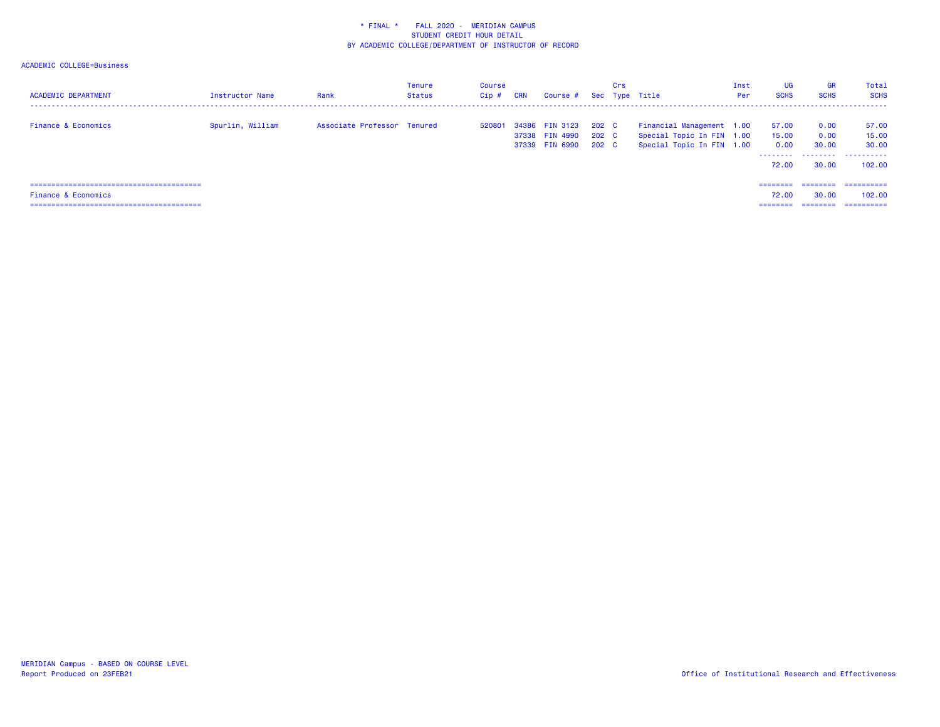| <b>ACADEMIC DEPARTMENT</b>     | <b>Instructor Name</b> | Rank                        | <b>Tenure</b><br>Status | Course<br>Cip# | <b>CRN</b> | Course # Sec Type Title                            |                         | Crs |                                                                                     | Inst<br>Per | UG<br><b>SCHS</b>                    | <b>GR</b><br><b>SCHS</b>                                                                                                                                                                                                                                                                                                                                                                                                                                                               | Total<br><b>SCHS</b>                   |
|--------------------------------|------------------------|-----------------------------|-------------------------|----------------|------------|----------------------------------------------------|-------------------------|-----|-------------------------------------------------------------------------------------|-------------|--------------------------------------|----------------------------------------------------------------------------------------------------------------------------------------------------------------------------------------------------------------------------------------------------------------------------------------------------------------------------------------------------------------------------------------------------------------------------------------------------------------------------------------|----------------------------------------|
| <b>Finance &amp; Economics</b> | Spurlin, William       | Associate Professor Tenured |                         | 520801         |            | 34386 FIN 3123<br>37338 FIN 4990<br>37339 FIN 6990 | 202 C<br>202 C<br>202 C |     | Financial Management 1.00<br>Special Topic In FIN 1.00<br>Special Topic In FIN 1.00 |             | 57.00<br>15.00<br>0.00<br>.<br>72.00 | 0.00<br>0.00<br>30.00<br>.<br>30.00                                                                                                                                                                                                                                                                                                                                                                                                                                                    | 57.00<br>15.00<br>30.00<br>.<br>102.00 |
|                                |                        |                             |                         |                |            |                                                    |                         |     |                                                                                     |             | ========                             |                                                                                                                                                                                                                                                                                                                                                                                                                                                                                        | -----------                            |
| <b>Finance &amp; Economics</b> |                        |                             |                         |                |            |                                                    |                         |     |                                                                                     |             | 72.00                                | 30.00                                                                                                                                                                                                                                                                                                                                                                                                                                                                                  | 102,00                                 |
|                                |                        |                             |                         |                |            |                                                    |                         |     |                                                                                     |             | --------                             | $\begin{array}{cccccccccc} \multicolumn{2}{c}{} & \multicolumn{2}{c}{} & \multicolumn{2}{c}{} & \multicolumn{2}{c}{} & \multicolumn{2}{c}{} & \multicolumn{2}{c}{} & \multicolumn{2}{c}{} & \multicolumn{2}{c}{} & \multicolumn{2}{c}{} & \multicolumn{2}{c}{} & \multicolumn{2}{c}{} & \multicolumn{2}{c}{} & \multicolumn{2}{c}{} & \multicolumn{2}{c}{} & \multicolumn{2}{c}{} & \multicolumn{2}{c}{} & \multicolumn{2}{c}{} & \multicolumn{2}{c}{} & \multicolumn{2}{c}{} & \mult$ | -----------                            |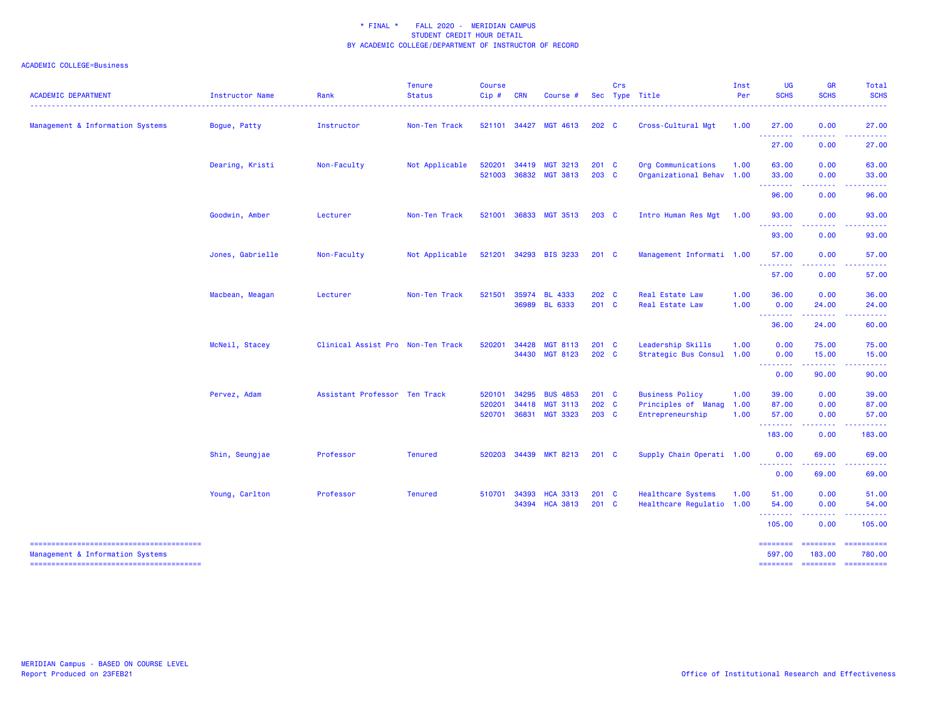| <b>ACADEMIC DEPARTMENT</b>       | Instructor Name  | Rank                              | <b>Tenure</b><br><b>Status</b> | <b>Course</b><br>Cip# | <b>CRN</b>     | Course #                           |                  | Crs | Sec Type Title                                  | Inst<br>Per | <b>UG</b><br><b>SCHS</b> | <b>GR</b><br><b>SCHS</b>    | <b>Total</b><br><b>SCHS</b>                                                                                                                                                                                                                                                                                                                                                                                                                                                            |
|----------------------------------|------------------|-----------------------------------|--------------------------------|-----------------------|----------------|------------------------------------|------------------|-----|-------------------------------------------------|-------------|--------------------------|-----------------------------|----------------------------------------------------------------------------------------------------------------------------------------------------------------------------------------------------------------------------------------------------------------------------------------------------------------------------------------------------------------------------------------------------------------------------------------------------------------------------------------|
| Management & Information Systems | Bogue, Patty     | Instructor                        | Non-Ten Track                  |                       |                | 521101 34427 MGT 4613              | 202 <sub>c</sub> |     | Cross-Cultural Mgt                              | 1.00        | 27.00                    | 0.00                        | 27.00                                                                                                                                                                                                                                                                                                                                                                                                                                                                                  |
|                                  |                  |                                   |                                |                       |                |                                    |                  |     |                                                 |             | .<br>27.00               | .<br>0.00                   | .<br>27.00                                                                                                                                                                                                                                                                                                                                                                                                                                                                             |
|                                  | Dearing, Kristi  | Non-Faculty                       | Not Applicable                 | 520201<br>521003      | 34419<br>36832 | <b>MGT 3213</b><br><b>MGT 3813</b> | 201 C<br>203 C   |     | Org Communications<br>Organizational Behav 1.00 | 1.00        | 63.00<br>33.00           | 0.00<br>0.00                | 63.00<br>33.00                                                                                                                                                                                                                                                                                                                                                                                                                                                                         |
|                                  |                  |                                   |                                |                       |                |                                    |                  |     |                                                 |             | --------<br>96.00        | -----<br>0.00               | 96.00                                                                                                                                                                                                                                                                                                                                                                                                                                                                                  |
|                                  | Goodwin, Amber   | Lecturer                          | Non-Ten Track                  | 521001                |                | 36833 MGT 3513                     | 203 C            |     | Intro Human Res Mgt                             | 1.00        | 93.00                    | 0.00                        | 93.00                                                                                                                                                                                                                                                                                                                                                                                                                                                                                  |
|                                  |                  |                                   |                                |                       |                |                                    |                  |     |                                                 |             | .<br>93.00               | 0.00                        | 93.00                                                                                                                                                                                                                                                                                                                                                                                                                                                                                  |
|                                  | Jones, Gabrielle | Non-Faculty                       | Not Applicable                 | 521201                |                | 34293 BIS 3233                     | $201$ C          |     | Management Informati 1.00                       |             | 57.00<br>. <u>.</u>      | 0.00                        | 57.00                                                                                                                                                                                                                                                                                                                                                                                                                                                                                  |
|                                  |                  |                                   |                                |                       |                |                                    |                  |     |                                                 |             | 57.00                    | 0.00                        | 57.00                                                                                                                                                                                                                                                                                                                                                                                                                                                                                  |
|                                  | Macbean, Meagan  | Lecturer                          | Non-Ten Track                  | 521501                |                | 35974 BL 4333                      | 202 C            |     | Real Estate Law                                 | 1.00        | 36.00                    | 0.00                        | 36.00                                                                                                                                                                                                                                                                                                                                                                                                                                                                                  |
|                                  |                  |                                   |                                |                       |                | 36989 BL 6333                      | 201 C            |     | Real Estate Law                                 | 1.00        | 0.00<br><u>.</u>         | 24.00<br>.                  | 24.00<br>$\frac{1}{2} \left( \frac{1}{2} \right) \left( \frac{1}{2} \right) \left( \frac{1}{2} \right) \left( \frac{1}{2} \right)$                                                                                                                                                                                                                                                                                                                                                     |
|                                  |                  |                                   |                                |                       |                |                                    |                  |     |                                                 |             | 36.00                    | 24.00                       | 60.00                                                                                                                                                                                                                                                                                                                                                                                                                                                                                  |
|                                  | McNeil, Stacey   | Clinical Assist Pro Non-Ten Track |                                | 520201                | 34428          | <b>MGT 8113</b>                    | 201 C            |     | Leadership Skills                               | 1.00        | 0.00                     | 75.00                       | 75.00                                                                                                                                                                                                                                                                                                                                                                                                                                                                                  |
|                                  |                  |                                   |                                |                       |                | 34430 MGT 8123                     | 202 C            |     | Strategic Bus Consul                            | 1.00        | 0.00<br><u>.</u>         | 15.00                       | 15.00                                                                                                                                                                                                                                                                                                                                                                                                                                                                                  |
|                                  |                  |                                   |                                |                       |                |                                    |                  |     |                                                 |             | 0.00                     | 90.00                       | 90.00                                                                                                                                                                                                                                                                                                                                                                                                                                                                                  |
|                                  | Pervez, Adam     | Assistant Professor Ten Track     |                                | 520101                | 34295          | <b>BUS 4853</b>                    | 201 C            |     | <b>Business Policy</b>                          | 1.00        | 39.00                    | 0.00                        | 39.00                                                                                                                                                                                                                                                                                                                                                                                                                                                                                  |
|                                  |                  |                                   |                                | 520201                | 34418          | <b>MGT 3113</b>                    | 202 C            |     | Principles of Manag                             | 1.00        | 87.00                    | 0.00                        | 87.00                                                                                                                                                                                                                                                                                                                                                                                                                                                                                  |
|                                  |                  |                                   |                                | 520701                |                | 36831 MGT 3323                     | 203 C            |     | Entrepreneurship                                | 1.00        | 57.00<br>.               | 0.00<br>-----               | 57.00<br>------                                                                                                                                                                                                                                                                                                                                                                                                                                                                        |
|                                  |                  |                                   |                                |                       |                |                                    |                  |     |                                                 |             | 183.00                   | 0.00                        | 183.00                                                                                                                                                                                                                                                                                                                                                                                                                                                                                 |
|                                  | Shin, Seungjae   | Professor                         | <b>Tenured</b>                 | 520203                |                | 34439 MKT 8213                     | $201$ C          |     | Supply Chain Operati 1.00                       |             | 0.00                     | 69.00                       | 69.00                                                                                                                                                                                                                                                                                                                                                                                                                                                                                  |
|                                  |                  |                                   |                                |                       |                |                                    |                  |     |                                                 |             | .<br>0.00                | .<br>69.00                  | .<br>69.00                                                                                                                                                                                                                                                                                                                                                                                                                                                                             |
|                                  | Young, Carlton   | Professor                         | <b>Tenured</b>                 | 510701                |                | 34393 HCA 3313                     | 201 C            |     | <b>Healthcare Systems</b>                       | 1.00        | 51.00                    | 0.00                        | 51.00                                                                                                                                                                                                                                                                                                                                                                                                                                                                                  |
|                                  |                  |                                   |                                |                       |                | 34394 HCA 3813                     | $201$ C          |     | Healthcare Regulatio 1.00                       |             | 54.00<br>.               | 0.00                        | 54.00                                                                                                                                                                                                                                                                                                                                                                                                                                                                                  |
|                                  |                  |                                   |                                |                       |                |                                    |                  |     |                                                 |             | 105.00                   | 0.00                        | 105.00                                                                                                                                                                                                                                                                                                                                                                                                                                                                                 |
| Management & Information Systems |                  |                                   |                                |                       |                |                                    |                  |     |                                                 |             | ========<br>597.00       | $=$ = = = = = = =<br>183.00 | ==========<br>780.00                                                                                                                                                                                                                                                                                                                                                                                                                                                                   |
|                                  |                  |                                   |                                |                       |                |                                    |                  |     |                                                 |             | <b>EEEEEEEE</b>          | <b>SESSEESS</b>             | $\begin{array}{cccccccccc} \multicolumn{2}{c}{} & \multicolumn{2}{c}{} & \multicolumn{2}{c}{} & \multicolumn{2}{c}{} & \multicolumn{2}{c}{} & \multicolumn{2}{c}{} & \multicolumn{2}{c}{} & \multicolumn{2}{c}{} & \multicolumn{2}{c}{} & \multicolumn{2}{c}{} & \multicolumn{2}{c}{} & \multicolumn{2}{c}{} & \multicolumn{2}{c}{} & \multicolumn{2}{c}{} & \multicolumn{2}{c}{} & \multicolumn{2}{c}{} & \multicolumn{2}{c}{} & \multicolumn{2}{c}{} & \multicolumn{2}{c}{} & \mult$ |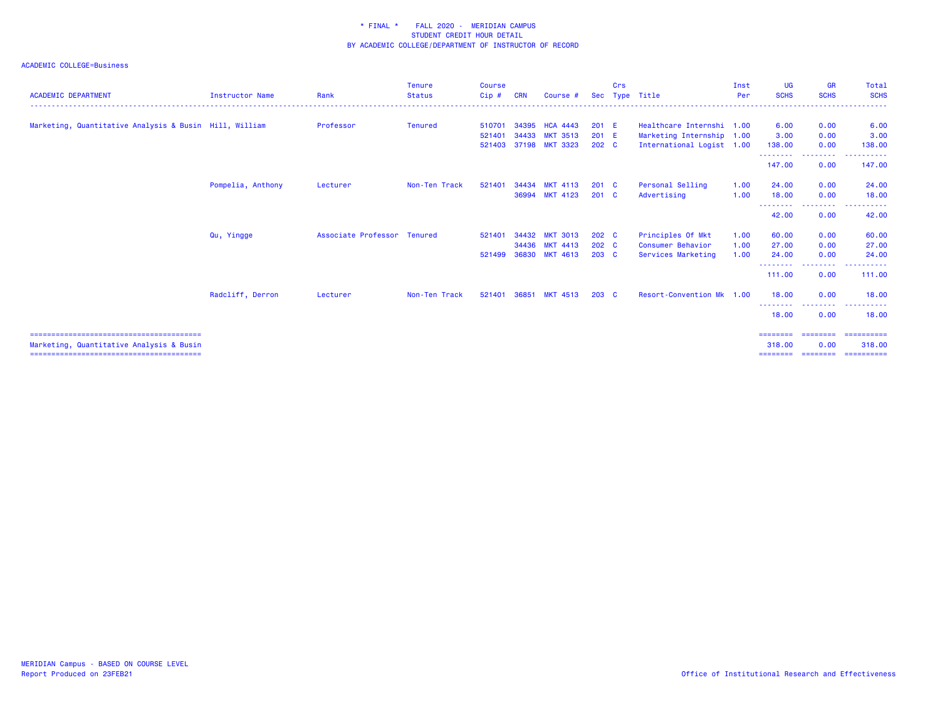| <b>ACADEMIC DEPARTMENT</b>                             | <b>Instructor Name</b> | Rank                        | <b>Tenure</b><br><b>Status</b> | <b>Course</b><br>Cip# | <b>CRN</b> | Course #                           |                           | Crs | Sec Type Title                                         | Inst<br>Per | <b>UG</b><br><b>SCHS</b>             | <b>GR</b><br><b>SCHS</b> | Total<br><b>SCHS</b>                |
|--------------------------------------------------------|------------------------|-----------------------------|--------------------------------|-----------------------|------------|------------------------------------|---------------------------|-----|--------------------------------------------------------|-------------|--------------------------------------|--------------------------|-------------------------------------|
| Marketing, Quantitative Analysis & Busin Hill, William |                        | Professor                   | <b>Tenured</b>                 | 510701                | 34395      | <b>HCA 4443</b>                    | 201 E                     |     | Healthcare Internshi 1.00                              |             | 6.00                                 | 0.00                     | 6.00                                |
|                                                        |                        |                             |                                | 521401<br>521403      | 34433      | <b>MKT 3513</b><br>37198 MKT 3323  | 201 E<br>202 <sub>c</sub> |     | Marketing Internship 1.00<br>International Logist 1.00 |             | 3.00<br>138.00                       | 0.00<br>0.00             | 3.00<br>138.00                      |
|                                                        |                        |                             |                                |                       |            |                                    |                           |     |                                                        |             | - - - - - - - - <b>-</b><br>147.00   | ---------<br>0.00        | . <b>.</b><br>147.00                |
|                                                        | Pompelia, Anthony      | Lecturer                    | Non-Ten Track                  | 521401                | 34434      | <b>MKT 4113</b>                    | 201 C                     |     | Personal Selling                                       | 1.00        | 24.00                                | 0.00                     | 24.00                               |
|                                                        |                        |                             |                                |                       | 36994      | <b>MKT 4123</b>                    | $201 \quad C$             |     | Advertising                                            | 1.00        | 18.00                                | 0.00<br>.                | 18.00                               |
|                                                        | Qu, Yingge             | Associate Professor Tenured |                                | 521401                | 34432      | <b>MKT 3013</b>                    | 202 C                     |     | Principles Of Mkt                                      | 1.00        | 42.00<br>60.00                       | 0.00<br>0.00             | 42.00<br>60.00                      |
|                                                        |                        |                             |                                |                       | 34436      | <b>MKT 4413</b><br><b>MKT 4613</b> | 202 C                     |     | Consumer Behavior                                      | 1.00        | 27.00                                | 0.00                     | 27.00<br>24,00                      |
|                                                        |                        |                             |                                | 521499                | 36830      |                                    | $203 \quad C$             |     | Services Marketing                                     | 1.00        | 24,00<br>- - - - - - - - -<br>111.00 | 0.00<br>0.00             | 111.00                              |
|                                                        | Radcliff, Derron       | Lecturer                    | Non-Ten Track                  | 521401                | 36851      | <b>MKT 4513</b>                    | $203 \quad C$             |     | Resort-Convention Mk 1.00                              |             | 18.00                                | 0.00                     | 18.00                               |
|                                                        |                        |                             |                                |                       |            |                                    |                           |     |                                                        |             | --------<br>18.00                    | .<br>0.00                | 18.00                               |
|                                                        |                        |                             |                                |                       |            |                                    |                           |     |                                                        |             | ========= ========                   |                          |                                     |
| Marketing, Quantitative Analysis & Busin               |                        |                             |                                |                       |            |                                    |                           |     |                                                        |             | 318,00<br>========                   | 0.00<br>---------        | ==========<br>318,00<br>----------- |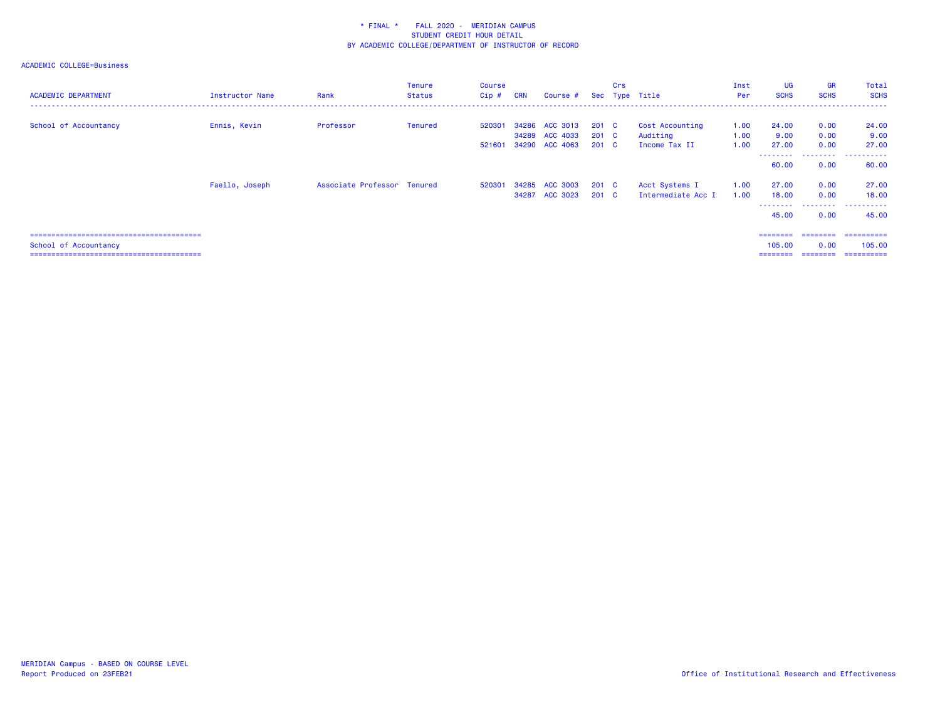| <b>ACADEMIC DEPARTMENT</b> | Instructor Name | Rank                        | <b>Tenure</b><br><b>Status</b> | <b>Course</b><br>$Cip$ # | <b>CRN</b> | Course # Sec Type Title |               | Crs |                    | Inst<br>Per | <b>UG</b><br><b>SCHS</b> | <b>GR</b><br><b>SCHS</b> | Total<br><b>SCHS</b><br>. |
|----------------------------|-----------------|-----------------------------|--------------------------------|--------------------------|------------|-------------------------|---------------|-----|--------------------|-------------|--------------------------|--------------------------|---------------------------|
| School of Accountancy      | Ennis, Kevin    | Professor                   | Tenured                        | 520301                   |            | 34286 ACC 3013          | $201 \quad C$ |     | Cost Accounting    | 1.00        | 24.00                    | 0.00                     | 24.00                     |
|                            |                 |                             |                                |                          |            | 34289 ACC 4033          | $201 \quad C$ |     | Auditing           | 1.00        | 9.00                     | 0.00                     | 9.00                      |
|                            |                 |                             |                                |                          |            |                         |               |     |                    |             |                          |                          |                           |
|                            |                 |                             |                                | 521601                   |            | 34290 ACC 4063          | $201 \quad C$ |     | Income Tax II      | 1.00        | 27.00<br>--------        | 0.00<br>.                | 27.00<br>.                |
|                            |                 |                             |                                |                          |            |                         |               |     |                    |             | 60.00                    | 0.00                     | 60.00                     |
|                            | Faello, Joseph  | Associate Professor Tenured |                                |                          |            | 520301 34285 ACC 3003   | $201$ C       |     | Acct Systems I     | 1.00        | 27.00                    | 0.00                     | 27.00                     |
|                            |                 |                             |                                |                          |            | 34287 ACC 3023          | $201 \quad C$ |     | Intermediate Acc I | 1.00        | 18.00                    | 0.00                     | 18.00                     |
|                            |                 |                             |                                |                          |            |                         |               |     |                    |             | --------                 | .                        | .<br>------               |
|                            |                 |                             |                                |                          |            |                         |               |     |                    |             | 45.00                    | 0.00                     | 45.00                     |
|                            |                 |                             |                                |                          |            |                         |               |     |                    |             | ========                 | ========                 | -----------               |
| School of Accountancy      |                 |                             |                                |                          |            |                         |               |     |                    |             | 105,00                   | 0.00                     | 105,00                    |
|                            |                 |                             |                                |                          |            |                         |               |     |                    |             |                          |                          |                           |
|                            |                 |                             |                                |                          |            |                         |               |     |                    |             | ========                 | ========                 | ==========                |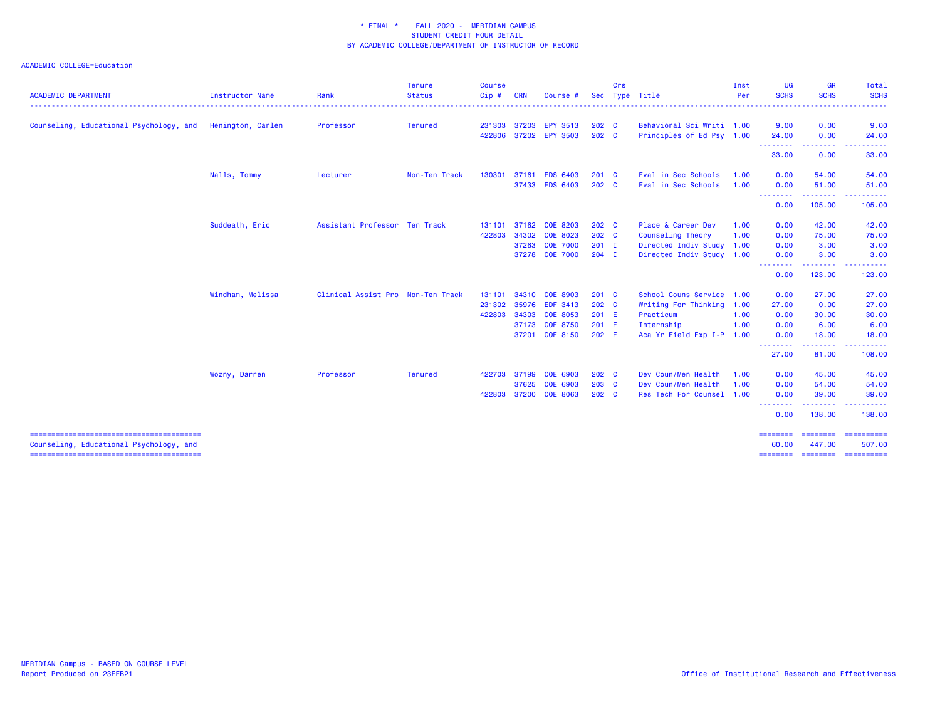| <b>ACADEMIC DEPARTMENT</b>              | Instructor Name   | Rank                              | <b>Tenure</b><br><b>Status</b> | <b>Course</b><br>Cip# | <b>CRN</b> | Course #        | Sec           | Crs | Type Title                | Inst<br>Per | <b>UG</b><br><b>SCHS</b> | <b>GR</b><br><b>SCHS</b><br>$\frac{1}{2} \left( \frac{1}{2} \right) \left( \frac{1}{2} \right) \left( \frac{1}{2} \right) \left( \frac{1}{2} \right)$          | Total<br><b>SCHS</b><br>$\frac{1}{2} \left( \frac{1}{2} \right) \left( \frac{1}{2} \right) \left( \frac{1}{2} \right) \left( \frac{1}{2} \right)$                                                                                                                                                                                                                                                                                                                                                |
|-----------------------------------------|-------------------|-----------------------------------|--------------------------------|-----------------------|------------|-----------------|---------------|-----|---------------------------|-------------|--------------------------|----------------------------------------------------------------------------------------------------------------------------------------------------------------|--------------------------------------------------------------------------------------------------------------------------------------------------------------------------------------------------------------------------------------------------------------------------------------------------------------------------------------------------------------------------------------------------------------------------------------------------------------------------------------------------|
| Counseling, Educational Psychology, and | Henington, Carlen | Professor                         | <b>Tenured</b>                 | 231303                | 37203      | EPY 3513        | 202 C         |     | Behavioral Sci Writi 1.00 |             | 9.00                     | 0.00                                                                                                                                                           | 9.00                                                                                                                                                                                                                                                                                                                                                                                                                                                                                             |
|                                         |                   |                                   |                                | 422806                |            | 37202 EPY 3503  | $202 \quad C$ |     | Principles of Ed Psy 1.00 |             | 24.00<br>.               | 0.00<br>.                                                                                                                                                      | 24.00                                                                                                                                                                                                                                                                                                                                                                                                                                                                                            |
|                                         |                   |                                   |                                |                       |            |                 |               |     |                           |             | 33.00                    | 0.00                                                                                                                                                           | 33.00                                                                                                                                                                                                                                                                                                                                                                                                                                                                                            |
|                                         | Nalls, Tommy      | Lecturer                          | Non-Ten Track                  | 130301                | 37161      | <b>EDS 6403</b> | $201$ C       |     | Eval in Sec Schools       | 1.00        | 0.00                     | 54.00                                                                                                                                                          | 54.00                                                                                                                                                                                                                                                                                                                                                                                                                                                                                            |
|                                         |                   |                                   |                                |                       | 37433      | <b>EDS 6403</b> | 202 C         |     | Eval in Sec Schools       | 1.00        | 0.00<br>.                | 51.00<br>.                                                                                                                                                     | 51.00                                                                                                                                                                                                                                                                                                                                                                                                                                                                                            |
|                                         |                   |                                   |                                |                       |            |                 |               |     |                           |             | 0.00                     | 105.00                                                                                                                                                         | 105.00                                                                                                                                                                                                                                                                                                                                                                                                                                                                                           |
|                                         | Suddeath, Eric    | Assistant Professor               | Ten Track                      | 131101                | 37162      | <b>COE 8203</b> | 202 C         |     | Place & Career Dev        | 1.00        | 0.00                     | 42.00                                                                                                                                                          | 42.00                                                                                                                                                                                                                                                                                                                                                                                                                                                                                            |
|                                         |                   |                                   |                                | 422803                | 34302      | <b>COE 8023</b> | 202 C         |     | Counseling Theory         | 1.00        | 0.00                     | 75.00                                                                                                                                                          | 75.00                                                                                                                                                                                                                                                                                                                                                                                                                                                                                            |
|                                         |                   |                                   |                                |                       | 37263      | <b>COE 7000</b> | $201$ I       |     | Directed Indiv Study 1.00 |             | 0.00                     | 3.00                                                                                                                                                           | 3.00                                                                                                                                                                                                                                                                                                                                                                                                                                                                                             |
|                                         |                   |                                   |                                |                       |            | 37278 COE 7000  | $204$ I       |     | Directed Indiv Study 1.00 |             | 0.00                     | 3.00                                                                                                                                                           | 3.00                                                                                                                                                                                                                                                                                                                                                                                                                                                                                             |
|                                         |                   |                                   |                                |                       |            |                 |               |     |                           |             | 0.00                     | $\frac{1}{2} \left( \frac{1}{2} \right) \left( \frac{1}{2} \right) \left( \frac{1}{2} \right) \left( \frac{1}{2} \right) \left( \frac{1}{2} \right)$<br>123.00 | 123.00                                                                                                                                                                                                                                                                                                                                                                                                                                                                                           |
|                                         | Windham, Melissa  | Clinical Assist Pro Non-Ten Track |                                | 131101                | 34310      | <b>COE 8903</b> | $201$ C       |     | School Couns Service 1.00 |             | 0.00                     | 27.00                                                                                                                                                          | 27.00                                                                                                                                                                                                                                                                                                                                                                                                                                                                                            |
|                                         |                   |                                   |                                | 231302                | 35976      | <b>EDF 3413</b> | 202 C         |     | Writing For Thinking 1.00 |             | 27.00                    | 0.00                                                                                                                                                           | 27.00                                                                                                                                                                                                                                                                                                                                                                                                                                                                                            |
|                                         |                   |                                   |                                | 422803                |            | 34303 COE 8053  | 201 E         |     | Practicum                 | 1.00        | 0.00                     | 30.00                                                                                                                                                          | 30.00                                                                                                                                                                                                                                                                                                                                                                                                                                                                                            |
|                                         |                   |                                   |                                |                       |            | 37173 COE 8750  | 201 E         |     | Internship                | 1.00        | 0.00                     | 6.00                                                                                                                                                           | 6.00                                                                                                                                                                                                                                                                                                                                                                                                                                                                                             |
|                                         |                   |                                   |                                |                       | 37201      | <b>COE 8150</b> | 202 E         |     | Aca Yr Field Exp I-P 1.00 |             | 0.00                     | 18.00                                                                                                                                                          | 18.00                                                                                                                                                                                                                                                                                                                                                                                                                                                                                            |
|                                         |                   |                                   |                                |                       |            |                 |               |     |                           |             | <u>.</u><br>27.00        | .<br>81.00                                                                                                                                                     | $\frac{1}{2} \left( \frac{1}{2} \right) \left( \frac{1}{2} \right) \left( \frac{1}{2} \right) \left( \frac{1}{2} \right) \left( \frac{1}{2} \right)$<br>108.00                                                                                                                                                                                                                                                                                                                                   |
|                                         | Wozny, Darren     | Professor                         | <b>Tenured</b>                 | 422703                | 37199      | COE 6903        | 202 C         |     | Dev Coun/Men Health       | 1.00        | 0.00                     | 45.00                                                                                                                                                          | 45.00                                                                                                                                                                                                                                                                                                                                                                                                                                                                                            |
|                                         |                   |                                   |                                |                       | 37625      | COE 6903        | $203$ C       |     | Dev Coun/Men Health       | 1.00        | 0.00                     | 54.00                                                                                                                                                          | 54.00                                                                                                                                                                                                                                                                                                                                                                                                                                                                                            |
|                                         |                   |                                   |                                | 422803                | 37200      | <b>COE 8063</b> | 202 C         |     | Res Tech For Counsel 1.00 |             | 0.00                     | 39.00                                                                                                                                                          | 39.00                                                                                                                                                                                                                                                                                                                                                                                                                                                                                            |
|                                         |                   |                                   |                                |                       |            |                 |               |     |                           |             | - - - - - - - -<br>0.00  | ------<br>138.00                                                                                                                                               | 138.00                                                                                                                                                                                                                                                                                                                                                                                                                                                                                           |
| Counseling, Educational Psychology, and |                   |                                   |                                |                       |            |                 |               |     |                           |             | 60.00                    | --------<br>447.00                                                                                                                                             | $\begin{array}{cccccccccc} \multicolumn{2}{c}{} & \multicolumn{2}{c}{} & \multicolumn{2}{c}{} & \multicolumn{2}{c}{} & \multicolumn{2}{c}{} & \multicolumn{2}{c}{} & \multicolumn{2}{c}{} & \multicolumn{2}{c}{} & \multicolumn{2}{c}{} & \multicolumn{2}{c}{} & \multicolumn{2}{c}{} & \multicolumn{2}{c}{} & \multicolumn{2}{c}{} & \multicolumn{2}{c}{} & \multicolumn{2}{c}{} & \multicolumn{2}{c}{} & \multicolumn{2}{c}{} & \multicolumn{2}{c}{} & \multicolumn{2}{c}{} & \mult$<br>507.00 |
|                                         |                   |                                   |                                |                       |            |                 |               |     |                           |             | $=$ = = = = = = = $=$    | <b>ESSESSE</b>                                                                                                                                                 | ==========                                                                                                                                                                                                                                                                                                                                                                                                                                                                                       |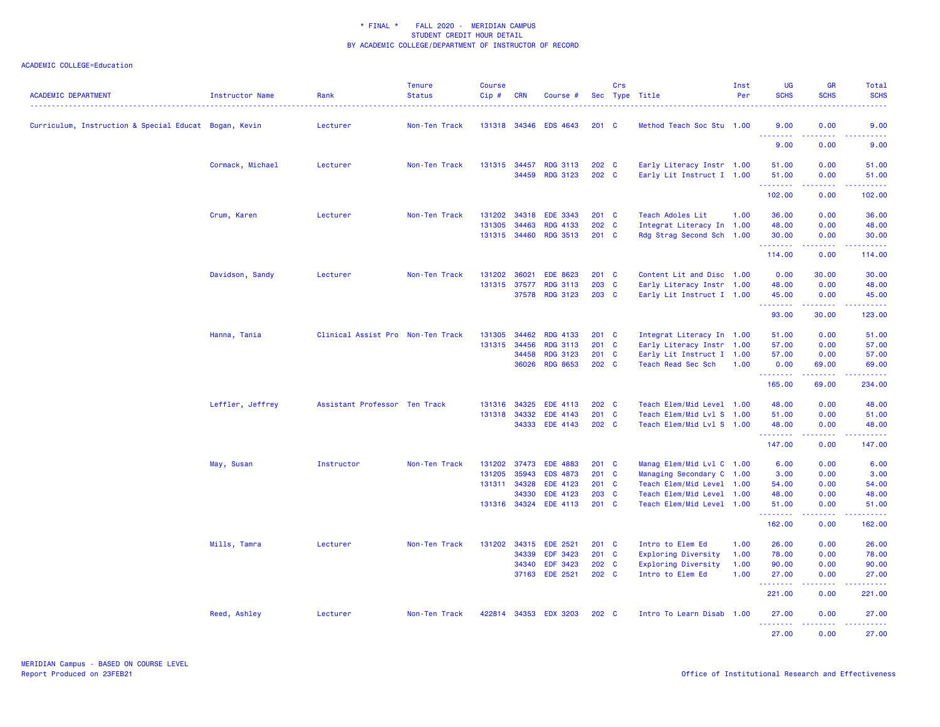| <b>ACADEMIC DEPARTMENT</b>                            | Instructor Name  | Rank                              | <b>Tenure</b><br><b>Status</b> | <b>Course</b><br>Cip# | <b>CRN</b> | Course #                           |                        | Crs          | Sec Type Title                                         | Inst<br>Per | UG<br><b>SCHS</b> | <b>GR</b><br><b>SCHS</b>                   | Total<br><b>SCHS</b>                                                                                                                                           |
|-------------------------------------------------------|------------------|-----------------------------------|--------------------------------|-----------------------|------------|------------------------------------|------------------------|--------------|--------------------------------------------------------|-------------|-------------------|--------------------------------------------|----------------------------------------------------------------------------------------------------------------------------------------------------------------|
| Curriculum, Instruction & Special Educat Bogan, Kevin |                  | Lecturer                          | Non-Ten Track                  | 131318                |            | 34346 EDS 4643                     | $201 \quad C$          |              | Method Teach Soc Stu 1.00                              |             | 9.00<br>.         | 0.00<br>$\sim$ $\sim$ $\sim$               | 9.00                                                                                                                                                           |
|                                                       |                  |                                   |                                |                       |            |                                    |                        |              |                                                        |             | 9.00              | 0.00                                       | 9.00                                                                                                                                                           |
|                                                       | Cormack, Michael | Lecturer                          | Non-Ten Track                  | 131315                | 34457      | <b>RDG 3113</b><br>34459 RDG 3123  | 202 C<br>202 C         |              | Early Literacy Instr 1.00<br>Early Lit Instruct I 1.00 |             | 51.00<br>51.00    | 0.00<br>0.00                               | 51.00<br>51.00                                                                                                                                                 |
|                                                       |                  |                                   |                                |                       |            |                                    |                        |              |                                                        |             | .<br>102.00       | .<br>0.00                                  | $\frac{1}{2} \left( \frac{1}{2} \right) \left( \frac{1}{2} \right) \left( \frac{1}{2} \right) \left( \frac{1}{2} \right) \left( \frac{1}{2} \right)$<br>102.00 |
|                                                       | Crum, Karen      | Lecturer                          | Non-Ten Track                  | 131202                | 34318      | <b>EDE 3343</b>                    | 201 C                  |              | Teach Adoles Lit                                       | 1.00        | 36.00             | 0.00                                       | 36.00                                                                                                                                                          |
|                                                       |                  |                                   |                                | 131305<br>131315      | 34463      | <b>RDG 4133</b><br>34460 RDG 3513  | 202 C<br>$201 \quad C$ |              | Integrat Literacy In 1.00<br>Rdg Strag Second Sch 1.00 |             | 48.00<br>30.00    | 0.00<br>0.00                               | 48.00<br>30.00                                                                                                                                                 |
|                                                       |                  |                                   |                                |                       |            |                                    |                        |              |                                                        |             | .<br>114.00       | .<br>0.00                                  | $\frac{1}{2} \left( \frac{1}{2} \right) \left( \frac{1}{2} \right) \left( \frac{1}{2} \right) \left( \frac{1}{2} \right) \left( \frac{1}{2} \right)$<br>114.00 |
|                                                       | Davidson, Sandy  | Lecturer                          | Non-Ten Track                  | 131202                | 36021      | <b>EDE 8623</b>                    | 201                    | <b>C</b>     | Content Lit and Disc 1.00                              |             | 0.00              | 30.00                                      | 30.00                                                                                                                                                          |
|                                                       |                  |                                   |                                | 131315 37577          | 37578      | <b>RDG 3113</b><br><b>RDG 3123</b> | 203<br>203 C           | $\mathbf{C}$ | Early Literacy Instr 1.00<br>Early Lit Instruct I 1.00 |             | 48.00<br>45.00    | 0.00<br>0.00                               | 48.00<br>45.00                                                                                                                                                 |
|                                                       |                  |                                   |                                |                       |            |                                    |                        |              |                                                        |             | .<br>93.00        | .<br>30.00                                 | $\frac{1}{2} \left( \frac{1}{2} \right) \left( \frac{1}{2} \right) \left( \frac{1}{2} \right) \left( \frac{1}{2} \right) \left( \frac{1}{2} \right)$<br>123.00 |
|                                                       | Hanna, Tania     | Clinical Assist Pro Non-Ten Track |                                | 131305                | 34462      | <b>RDG 4133</b>                    | 201 C                  |              | Integrat Literacy In 1.00                              |             | 51.00             | 0.00                                       | 51.00                                                                                                                                                          |
|                                                       |                  |                                   |                                | 131315                | 34456      | <b>RDG 3113</b>                    | 201 C                  |              | Early Literacy Instr 1.00                              |             | 57.00             | 0.00                                       | 57.00                                                                                                                                                          |
|                                                       |                  |                                   |                                |                       | 34458      | <b>RDG 3123</b>                    | 201                    | C            | Early Lit Instruct I 1.00                              |             | 57.00             | 0.00                                       | 57.00                                                                                                                                                          |
|                                                       |                  |                                   |                                |                       | 36026      | <b>RDG 8653</b>                    | $202 \quad C$          |              | Teach Read Sec Sch                                     | 1.00        | 0.00<br>.         | 69.00<br>$\omega = \omega \omega + \omega$ | 69.00<br>22222.                                                                                                                                                |
|                                                       |                  |                                   |                                |                       |            |                                    |                        |              |                                                        |             | 165.00            | 69.00                                      | 234.00                                                                                                                                                         |
|                                                       | Leffler, Jeffrey | Assistant Professor Ten Track     |                                | 131316                | 34325      | <b>EDE 4113</b>                    | 202 C                  |              | Teach Elem/Mid Level 1.00                              |             | 48.00             | 0.00                                       | 48.00                                                                                                                                                          |
|                                                       |                  |                                   |                                | 131318                | 34332      | <b>EDE 4143</b>                    | 201 C                  |              | Teach Elem/Mid Lvl S                                   | 1.00        | 51.00             | 0.00                                       | 51.00                                                                                                                                                          |
|                                                       |                  |                                   |                                |                       |            | 34333 EDE 4143                     | 202 C                  |              | Teach Elem/Mid Lvl S 1.00                              |             | 48.00<br>.        | 0.00<br>د د د د                            | 48.00<br>22222)                                                                                                                                                |
|                                                       |                  |                                   |                                |                       |            |                                    |                        |              |                                                        |             | 147.00            | 0.00                                       | 147.00                                                                                                                                                         |
|                                                       | May, Susan       | Instructor                        | Non-Ten Track                  | 131202                | 37473      | <b>EDE 4883</b>                    | $201 \quad C$          |              | Manag Elem/Mid Lvl C 1.00                              |             | 6.00              | 0.00                                       | 6.00                                                                                                                                                           |
|                                                       |                  |                                   |                                | 131205                | 35943      | <b>EDS 4873</b>                    | 201                    | $\mathbf{C}$ | Managing Secondary C                                   | 1.00        | 3.00              | 0.00                                       | 3.00                                                                                                                                                           |
|                                                       |                  |                                   |                                | 131311                | 34328      | <b>EDE 4123</b>                    | 201 C                  |              | Teach Elem/Mid Level 1.00                              |             | 54.00             | 0.00                                       | 54.00                                                                                                                                                          |
|                                                       |                  |                                   |                                |                       | 34330      | <b>EDE 4123</b>                    | 203                    | $\mathbf{C}$ | Teach Elem/Mid Level                                   | 1.00        | 48.00             | 0.00                                       | 48.00                                                                                                                                                          |
|                                                       |                  |                                   |                                | 131316 34324          |            | <b>EDE 4113</b>                    | $201$ C                |              | Teach Elem/Mid Level                                   | 1.00        | 51.00<br>.        | 0.00<br>.                                  | 51.00<br>.                                                                                                                                                     |
|                                                       |                  |                                   |                                |                       |            |                                    |                        |              |                                                        |             | 162.00            | 0.00                                       | 162.00                                                                                                                                                         |
|                                                       | Mills, Tamra     | Lecturer                          | Non-Ten Track                  | 131202                | 34315      | <b>EDE 2521</b>                    | 201 C                  |              | Intro to Elem Ed                                       | 1.00        | 26.00             | 0.00                                       | 26.00                                                                                                                                                          |
|                                                       |                  |                                   |                                |                       | 34339      | <b>EDF 3423</b>                    | 201 C                  |              | <b>Exploring Diversity</b>                             | 1.00        | 78.00             | 0.00                                       | 78.00                                                                                                                                                          |
|                                                       |                  |                                   |                                |                       | 34340      | <b>EDF 3423</b>                    | 202                    | C            | <b>Exploring Diversity</b>                             | 1.00        | 90.00             | 0.00                                       | 90.00                                                                                                                                                          |
|                                                       |                  |                                   |                                |                       |            | 37163 EDE 2521                     | 202 C                  |              | Intro to Elem Ed                                       | 1.00        | 27.00<br>.        | 0.00                                       | 27.00                                                                                                                                                          |
|                                                       |                  |                                   |                                |                       |            |                                    |                        |              |                                                        |             | 221.00            | 0.00                                       | 221.00                                                                                                                                                         |
|                                                       | Reed, Ashley     | Lecturer                          | Non-Ten Track                  | 422814                |            | 34353 EDX 3203                     | 202 C                  |              | Intro To Learn Disab 1.00                              |             | 27.00<br>.        | 0.00<br>$\sim$ $\sim$ $\sim$ $\sim$        | 27.00                                                                                                                                                          |
|                                                       |                  |                                   |                                |                       |            |                                    |                        |              |                                                        |             | 27.00             | 0.00                                       | 27.00                                                                                                                                                          |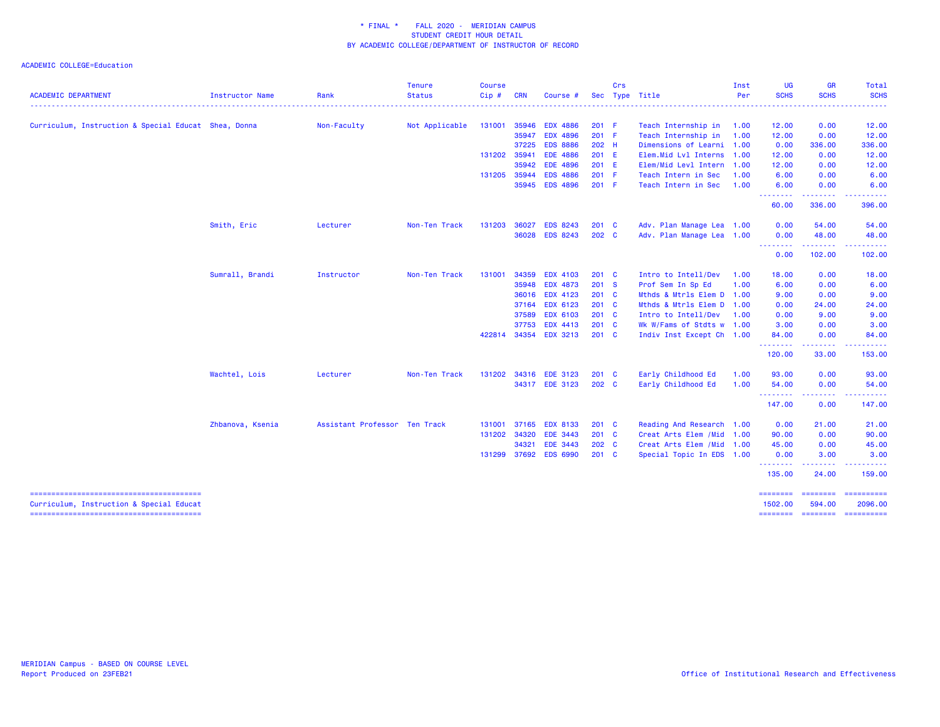| <b>ACADEMIC DEPARTMENT</b>                           | Instructor Name  | Rank                          | <b>Tenure</b><br><b>Status</b> | <b>Course</b><br>Cip# | <b>CRN</b> | Course #        |               | Crs | Sec Type Title             | Inst<br>Per | <b>UG</b><br><b>SCHS</b>     | <b>GR</b><br><b>SCHS</b> | <b>Total</b><br><b>SCHS</b>                                                                                                                                                                                                                                                                                                                                                                                                                                                            |
|------------------------------------------------------|------------------|-------------------------------|--------------------------------|-----------------------|------------|-----------------|---------------|-----|----------------------------|-------------|------------------------------|--------------------------|----------------------------------------------------------------------------------------------------------------------------------------------------------------------------------------------------------------------------------------------------------------------------------------------------------------------------------------------------------------------------------------------------------------------------------------------------------------------------------------|
|                                                      |                  |                               |                                |                       |            |                 |               |     |                            |             |                              |                          |                                                                                                                                                                                                                                                                                                                                                                                                                                                                                        |
| Curriculum, Instruction & Special Educat Shea, Donna |                  | Non-Faculty                   | Not Applicable                 | 131001                | 35946      | <b>EDX 4886</b> | 201 F         |     | Teach Internship in        | 1.00        | 12.00                        | 0.00                     | 12.00                                                                                                                                                                                                                                                                                                                                                                                                                                                                                  |
|                                                      |                  |                               |                                |                       | 35947      | <b>EDX 4896</b> | 201 F         |     | Teach Internship in        | 1.00        | 12.00                        | 0.00                     | 12.00                                                                                                                                                                                                                                                                                                                                                                                                                                                                                  |
|                                                      |                  |                               |                                |                       | 37225      | <b>EDS 8886</b> | 202 H         |     | Dimensions of Learni 1.00  |             | 0.00                         | 336.00                   | 336.00                                                                                                                                                                                                                                                                                                                                                                                                                                                                                 |
|                                                      |                  |                               |                                | 131202                | 35941      | <b>EDE 4886</b> | 201 E         |     | Elem.Mid Lvl Interns 1.00  |             | 12.00                        | 0.00                     | 12.00                                                                                                                                                                                                                                                                                                                                                                                                                                                                                  |
|                                                      |                  |                               |                                |                       | 35942      | <b>EDE 4896</b> | 201 E         |     | Elem/Mid Levl Intern       | 1.00        | 12.00                        | 0.00                     | 12.00                                                                                                                                                                                                                                                                                                                                                                                                                                                                                  |
|                                                      |                  |                               |                                | 131205                | 35944      | <b>EDS 4886</b> | 201 F         |     | Teach Intern in Sec        | 1.00        | 6.00                         | 0.00                     | 6.00                                                                                                                                                                                                                                                                                                                                                                                                                                                                                   |
|                                                      |                  |                               |                                |                       |            | 35945 EDS 4896  | 201 F         |     | Teach Intern in Sec        | 1.00        | 6.00<br><b></b>              | 0.00<br>.                | 6.00                                                                                                                                                                                                                                                                                                                                                                                                                                                                                   |
|                                                      |                  |                               |                                |                       |            |                 |               |     |                            |             | 60.00                        | 336.00                   | 396.00                                                                                                                                                                                                                                                                                                                                                                                                                                                                                 |
|                                                      | Smith, Eric      | Lecturer                      | Non-Ten Track                  | 131203                | 36027      | <b>EDS 8243</b> | $201$ C       |     | Adv. Plan Manage Lea 1.00  |             | 0.00                         | 54.00                    | 54.00                                                                                                                                                                                                                                                                                                                                                                                                                                                                                  |
|                                                      |                  |                               |                                |                       |            | 36028 EDS 8243  | 202 C         |     | Adv. Plan Manage Lea 1.00  |             | 0.00<br><u>.</u>             | 48.00<br><b></b>         | 48.00<br>.                                                                                                                                                                                                                                                                                                                                                                                                                                                                             |
|                                                      |                  |                               |                                |                       |            |                 |               |     |                            |             | 0.00                         | 102.00                   | 102.00                                                                                                                                                                                                                                                                                                                                                                                                                                                                                 |
|                                                      | Sumrall, Brandi  | Instructor                    | Non-Ten Track                  | 131001                | 34359      | <b>EDX 4103</b> | $201 \quad C$ |     | Intro to Intell/Dev        | 1.00        | 18.00                        | 0.00                     | 18.00                                                                                                                                                                                                                                                                                                                                                                                                                                                                                  |
|                                                      |                  |                               |                                |                       | 35948      | <b>EDX 4873</b> | 201 S         |     | Prof Sem In Sp Ed          | 1.00        | 6.00                         | 0.00                     | 6.00                                                                                                                                                                                                                                                                                                                                                                                                                                                                                   |
|                                                      |                  |                               |                                |                       |            | 36016 EDX 4123  | $201$ C       |     | Mthds & Mtrls Elem D 1.00  |             | 9.00                         | 0.00                     | 9.00                                                                                                                                                                                                                                                                                                                                                                                                                                                                                   |
|                                                      |                  |                               |                                |                       | 37164      | <b>EDX 6123</b> | 201 C         |     | Mthds & Mtrls Elem D 1.00  |             | 0.00                         | 24.00                    | 24.00                                                                                                                                                                                                                                                                                                                                                                                                                                                                                  |
|                                                      |                  |                               |                                |                       | 37589      | <b>EDX 6103</b> | 201 C         |     | Intro to Intell/Dev        | 1.00        | 0.00                         | 9.00                     | 9.00                                                                                                                                                                                                                                                                                                                                                                                                                                                                                   |
|                                                      |                  |                               |                                |                       | 37753      | <b>EDX 4413</b> | 201 C         |     | Wk W/Fams of Stdts w 1.00  |             | 3.00                         | 0.00                     | 3.00                                                                                                                                                                                                                                                                                                                                                                                                                                                                                   |
|                                                      |                  |                               |                                | 422814                |            | 34354 EDX 3213  | $201$ C       |     | Indiv Inst Except Ch 1.00  |             | 84.00                        | 0.00<br>.                | 84.00<br>.                                                                                                                                                                                                                                                                                                                                                                                                                                                                             |
|                                                      |                  |                               |                                |                       |            |                 |               |     |                            |             | -------<br>120.00            | 33.00                    | 153.00                                                                                                                                                                                                                                                                                                                                                                                                                                                                                 |
|                                                      | Wachtel, Lois    | Lecturer                      | Non-Ten Track                  | 131202                | 34316      | <b>EDE 3123</b> | $201$ C       |     | Early Childhood Ed         | 1.00        | 93.00                        | 0.00                     | 93.00                                                                                                                                                                                                                                                                                                                                                                                                                                                                                  |
|                                                      |                  |                               |                                |                       |            | 34317 EDE 3123  | 202 C         |     | Early Childhood Ed         | 1.00        | 54.00<br>- - - - - - - -     | 0.00                     | 54.00                                                                                                                                                                                                                                                                                                                                                                                                                                                                                  |
|                                                      |                  |                               |                                |                       |            |                 |               |     |                            |             | 147.00                       | 0.00                     | 147.00                                                                                                                                                                                                                                                                                                                                                                                                                                                                                 |
|                                                      | Zhbanova, Ksenia | Assistant Professor Ten Track |                                | 131001                | 37165      | <b>EDX 8133</b> | 201 C         |     | Reading And Research 1.00  |             | 0.00                         | 21.00                    | 21.00                                                                                                                                                                                                                                                                                                                                                                                                                                                                                  |
|                                                      |                  |                               |                                | 131202                | 34320      | <b>EDE 3443</b> | 201 C         |     | Creat Arts Elem / Mid 1.00 |             | 90.00                        | 0.00                     | 90.00                                                                                                                                                                                                                                                                                                                                                                                                                                                                                  |
|                                                      |                  |                               |                                |                       | 34321      | EDE 3443        | 202 C         |     | Creat Arts Elem / Mid 1.00 |             | 45.00                        | 0.00                     | 45.00                                                                                                                                                                                                                                                                                                                                                                                                                                                                                  |
|                                                      |                  |                               |                                | 131299                |            | 37692 EDS 6990  | $201$ C       |     | Special Topic In EDS 1.00  |             | 0.00<br>.                    | 3.00<br>. <u>.</u>       | 3.00<br>.                                                                                                                                                                                                                                                                                                                                                                                                                                                                              |
|                                                      |                  |                               |                                |                       |            |                 |               |     |                            |             | 135.00                       | 24.00                    | 159.00                                                                                                                                                                                                                                                                                                                                                                                                                                                                                 |
|                                                      |                  |                               |                                |                       |            |                 |               |     |                            |             | ========                     |                          | $\begin{array}{cccccccccc} \multicolumn{3}{c}{} & \multicolumn{3}{c}{} & \multicolumn{3}{c}{} & \multicolumn{3}{c}{} & \multicolumn{3}{c}{} & \multicolumn{3}{c}{} & \multicolumn{3}{c}{} & \multicolumn{3}{c}{} & \multicolumn{3}{c}{} & \multicolumn{3}{c}{} & \multicolumn{3}{c}{} & \multicolumn{3}{c}{} & \multicolumn{3}{c}{} & \multicolumn{3}{c}{} & \multicolumn{3}{c}{} & \multicolumn{3}{c}{} & \multicolumn{3}{c}{} & \multicolumn{3}{c}{} & \multicolumn{3}{c}{} & \mult$ |
| Curriculum, Instruction & Special Educat             |                  |                               |                                |                       |            |                 |               |     |                            |             | 1502.00<br>======== ======== | 594.00                   | 2096.00<br>-----------                                                                                                                                                                                                                                                                                                                                                                                                                                                                 |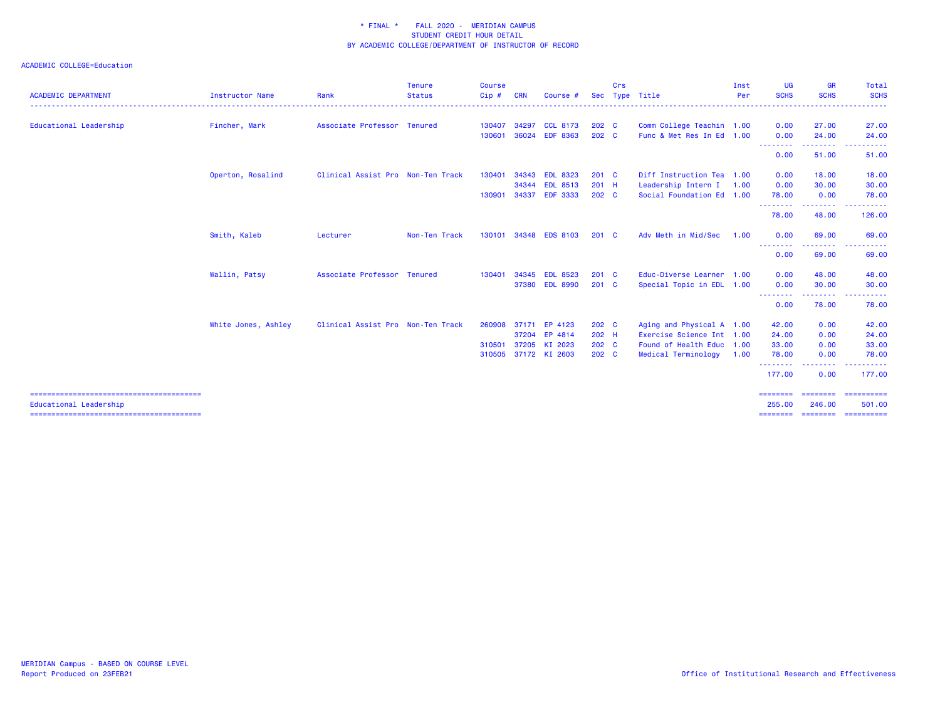| Associate Professor Tenured<br>Clinical Assist Pro Non-Ten Track<br>Non-Ten Track | 130407<br>130601<br>130401<br>130901<br>130101 | 34297<br>36024<br>34343<br>34344<br>34337<br>34348 | <b>CCL 8173</b><br><b>EDF 8363</b><br><b>EDL 8323</b><br><b>EDL 8513</b><br><b>EDF 3333</b> | $202 \quad C$<br>202 C<br>201 C<br>$201$ H<br>$202 \quad C$ | Comm College Teachin 1.00<br>Func & Met Res In Ed 1.00<br>Diff Instruction Tea 1.00<br>Leadership Intern I<br>Social Foundation Ed 1.00 | 1.00 | 0.00<br>0.00<br>.<br>0.00<br>0.00<br>0.00<br>78.00                                          | 27.00<br>24.00<br>.<br>51.00<br>18.00<br>30.00<br>0.00                                                                            | 27.00<br>24.00<br>.<br>51.00<br>18.00<br>30.00<br>78.00                                                                                                                                                                                                                                                                                                                                                                                                                                                                  |
|-----------------------------------------------------------------------------------|------------------------------------------------|----------------------------------------------------|---------------------------------------------------------------------------------------------|-------------------------------------------------------------|-----------------------------------------------------------------------------------------------------------------------------------------|------|---------------------------------------------------------------------------------------------|-----------------------------------------------------------------------------------------------------------------------------------|--------------------------------------------------------------------------------------------------------------------------------------------------------------------------------------------------------------------------------------------------------------------------------------------------------------------------------------------------------------------------------------------------------------------------------------------------------------------------------------------------------------------------|
|                                                                                   |                                                |                                                    |                                                                                             |                                                             |                                                                                                                                         |      |                                                                                             |                                                                                                                                   |                                                                                                                                                                                                                                                                                                                                                                                                                                                                                                                          |
|                                                                                   |                                                |                                                    |                                                                                             |                                                             |                                                                                                                                         |      |                                                                                             |                                                                                                                                   |                                                                                                                                                                                                                                                                                                                                                                                                                                                                                                                          |
|                                                                                   |                                                |                                                    |                                                                                             |                                                             |                                                                                                                                         |      |                                                                                             |                                                                                                                                   |                                                                                                                                                                                                                                                                                                                                                                                                                                                                                                                          |
|                                                                                   |                                                |                                                    |                                                                                             |                                                             |                                                                                                                                         |      |                                                                                             |                                                                                                                                   |                                                                                                                                                                                                                                                                                                                                                                                                                                                                                                                          |
|                                                                                   |                                                |                                                    |                                                                                             |                                                             |                                                                                                                                         |      |                                                                                             |                                                                                                                                   |                                                                                                                                                                                                                                                                                                                                                                                                                                                                                                                          |
|                                                                                   |                                                |                                                    |                                                                                             |                                                             |                                                                                                                                         |      |                                                                                             |                                                                                                                                   |                                                                                                                                                                                                                                                                                                                                                                                                                                                                                                                          |
|                                                                                   |                                                |                                                    |                                                                                             |                                                             |                                                                                                                                         |      | <u>.</u><br>78.00                                                                           | .<br>48.00                                                                                                                        | 126.00                                                                                                                                                                                                                                                                                                                                                                                                                                                                                                                   |
|                                                                                   |                                                |                                                    | <b>EDS 8103</b>                                                                             | $201 \quad C$                                               | Adv Meth in Mid/Sec                                                                                                                     | 1.00 | 0.00                                                                                        | 69.00                                                                                                                             | 69.00                                                                                                                                                                                                                                                                                                                                                                                                                                                                                                                    |
|                                                                                   |                                                |                                                    |                                                                                             |                                                             |                                                                                                                                         |      | .<br>0.00                                                                                   | <b>.</b><br>69.00                                                                                                                 | 69.00                                                                                                                                                                                                                                                                                                                                                                                                                                                                                                                    |
| Associate Professor Tenured                                                       | 130401                                         | 34345                                              | <b>EDL 8523</b>                                                                             | $201$ C                                                     | Educ-Diverse Learner 1.00                                                                                                               |      | 0.00                                                                                        | 48.00                                                                                                                             | 48.00                                                                                                                                                                                                                                                                                                                                                                                                                                                                                                                    |
|                                                                                   |                                                |                                                    | 37380 EDL 8990                                                                              | $201$ C                                                     | Special Topic in EDL 1.00                                                                                                               |      | 0.00                                                                                        | 30.00                                                                                                                             | 30.00                                                                                                                                                                                                                                                                                                                                                                                                                                                                                                                    |
|                                                                                   |                                                |                                                    |                                                                                             |                                                             |                                                                                                                                         |      | .<br>0.00                                                                                   | .<br>78.00                                                                                                                        | .<br>78.00                                                                                                                                                                                                                                                                                                                                                                                                                                                                                                               |
|                                                                                   |                                                |                                                    |                                                                                             |                                                             |                                                                                                                                         |      |                                                                                             | 0.00                                                                                                                              | 42.00                                                                                                                                                                                                                                                                                                                                                                                                                                                                                                                    |
|                                                                                   |                                                | 37204                                              | EP 4814                                                                                     |                                                             |                                                                                                                                         |      | 24.00                                                                                       | 0.00                                                                                                                              | 24.00                                                                                                                                                                                                                                                                                                                                                                                                                                                                                                                    |
|                                                                                   | 310501                                         | 37205                                              | KI 2023                                                                                     |                                                             |                                                                                                                                         |      | 33.00                                                                                       | 0.00                                                                                                                              | 33.00                                                                                                                                                                                                                                                                                                                                                                                                                                                                                                                    |
|                                                                                   |                                                |                                                    |                                                                                             |                                                             | Medical Terminology                                                                                                                     |      | 78.00                                                                                       | 0.00                                                                                                                              | 78.00                                                                                                                                                                                                                                                                                                                                                                                                                                                                                                                    |
|                                                                                   |                                                |                                                    |                                                                                             |                                                             |                                                                                                                                         |      | .<br>177.00                                                                                 | $\frac{1}{2} \left( \frac{1}{2} \right) \left( \frac{1}{2} \right) \left( \frac{1}{2} \right) \left( \frac{1}{2} \right)$<br>0.00 | 177.00                                                                                                                                                                                                                                                                                                                                                                                                                                                                                                                   |
|                                                                                   |                                                |                                                    |                                                                                             |                                                             |                                                                                                                                         |      |                                                                                             |                                                                                                                                   | ==========<br>501.00                                                                                                                                                                                                                                                                                                                                                                                                                                                                                                     |
|                                                                                   | Clinical Assist Pro Non-Ten Track              |                                                    | 260908<br>310505                                                                            | 37171 EP 4123<br>37172 KI 2603                              | 202 C<br>202 H<br>202 C<br>202 C                                                                                                        |      | Aging and Physical A 1.00<br>Exercise Science Int 1.00<br>Found of Health Educ 1.00<br>1.00 | 42.00<br>$=$ = = = = = = =<br>255.00<br>========                                                                                  | ========<br>246.00<br>$\begin{array}{cccccccccc} \multicolumn{2}{c}{} & \multicolumn{2}{c}{} & \multicolumn{2}{c}{} & \multicolumn{2}{c}{} & \multicolumn{2}{c}{} & \multicolumn{2}{c}{} & \multicolumn{2}{c}{} & \multicolumn{2}{c}{} & \multicolumn{2}{c}{} & \multicolumn{2}{c}{} & \multicolumn{2}{c}{} & \multicolumn{2}{c}{} & \multicolumn{2}{c}{} & \multicolumn{2}{c}{} & \multicolumn{2}{c}{} & \multicolumn{2}{c}{} & \multicolumn{2}{c}{} & \multicolumn{2}{c}{} & \multicolumn{2}{c}{} & \mult$<br>======== |